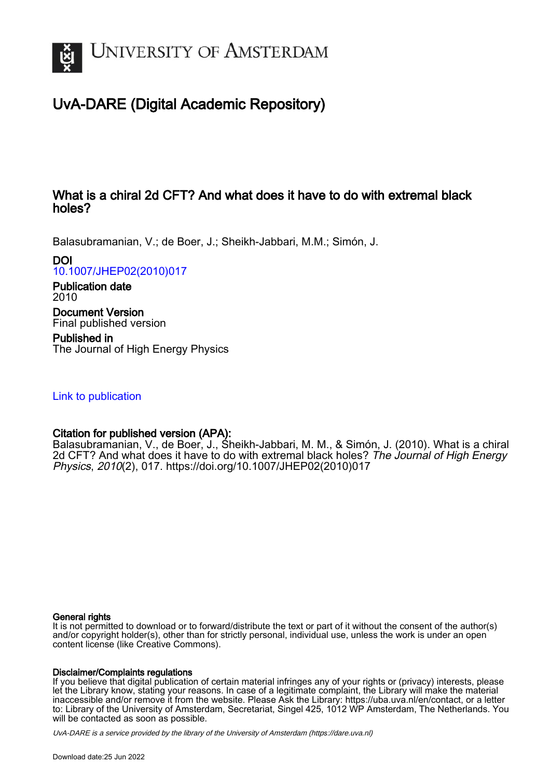

# UvA-DARE (Digital Academic Repository)

# What is a chiral 2d CFT? And what does it have to do with extremal black holes?

Balasubramanian, V.; de Boer, J.; Sheikh-Jabbari, M.M.; Simón, J.

DOI

[10.1007/JHEP02\(2010\)017](https://doi.org/10.1007/JHEP02(2010)017)

Publication date 2010

Document Version Final published version

Published in The Journal of High Energy Physics

# [Link to publication](https://dare.uva.nl/personal/pure/en/publications/what-is-a-chiral-2d-cft-and-what-does-it-have-to-do-with-extremal-black-holes(9a25c5d8-f792-4e3e-a697-031db49286bb).html)

# Citation for published version (APA):

Balasubramanian, V., de Boer, J., Sheikh-Jabbari, M. M., & Simón, J. (2010). What is a chiral 2d CFT? And what does it have to do with extremal black holes? The Journal of High Energy Physics, 2010(2), 017. [https://doi.org/10.1007/JHEP02\(2010\)017](https://doi.org/10.1007/JHEP02(2010)017)

## General rights

It is not permitted to download or to forward/distribute the text or part of it without the consent of the author(s) and/or copyright holder(s), other than for strictly personal, individual use, unless the work is under an open content license (like Creative Commons).

## Disclaimer/Complaints regulations

If you believe that digital publication of certain material infringes any of your rights or (privacy) interests, please let the Library know, stating your reasons. In case of a legitimate complaint, the Library will make the material inaccessible and/or remove it from the website. Please Ask the Library: https://uba.uva.nl/en/contact, or a letter to: Library of the University of Amsterdam, Secretariat, Singel 425, 1012 WP Amsterdam, The Netherlands. You will be contacted as soon as possible.

UvA-DARE is a service provided by the library of the University of Amsterdam (http*s*://dare.uva.nl)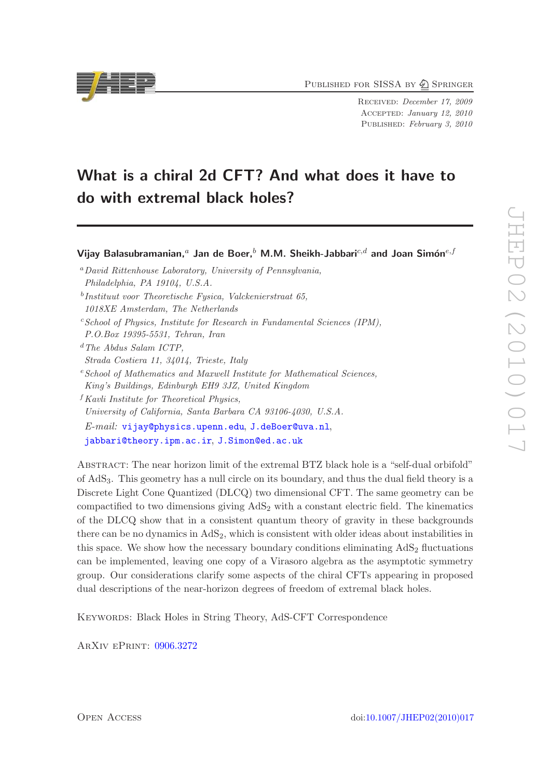PUBLISHED FOR SISSA BY 2 SPRINGER

Received: December 17, 2009 Accepted: January 12, 2010 PUBLISHED: February 3, 2010

# What is a chiral 2d CFT? And what does it have to do with extremal black holes?

Vijay Balasubramanian,<sup>a</sup> Jan de Boer,<sup>b</sup> M.M. Sheikh-Jabbari<sup>c,d</sup> and Joan Simón<sup>e,f</sup>

- <sup>a</sup>*David Rittenhouse Laboratory, University of Pennsylvania, Philadelphia, PA 19104, U.S.A.*
- b *Instituut voor Theoretische Fysica, Valckenierstraat 65, 1018XE Amsterdam, The Netherlands*
- <sup>c</sup>*School of Physics, Institute for Research in Fundamental Sciences (IPM), P.O.Box 19395-5531, Tehran, Iran*
- <sup>d</sup>*The Abdus Salam ICTP, Strada Costiera 11, 34014, Trieste, Italy*
- <sup>e</sup>*School of Mathematics and Maxwell Institute for Mathematical Sciences, King's Buildings, Edinburgh EH9 3JZ, United Kingdom*
- <sup>f</sup>*Kavli Institute for Theoretical Physics, University of California, Santa Barbara CA 93106-4030, U.S.A. E-mail:* [vijay@physics.upenn.edu](mailto:vijay@physics.upenn.edu), [J.deBoer@uva.nl](mailto:J.deBoer@uva.nl), [jabbari@theory.ipm.ac.ir](mailto:jabbari@theory.ipm.ac.ir), [J.Simon@ed.ac.uk](mailto:J.Simon@ed.ac.uk)

Abstract: The near horizon limit of the extremal BTZ black hole is a "self-dual orbifold" of AdS3. This geometry has a null circle on its boundary, and thus the dual field theory is a Discrete Light Cone Quantized (DLCQ) two dimensional CFT. The same geometry can be compactified to two dimensions giving  $AdS_2$  with a constant electric field. The kinematics of the DLCQ show that in a consistent quantum theory of gravity in these backgrounds there can be no dynamics in  $AdS_2$ , which is consistent with older ideas about instabilities in this space. We show how the necessary boundary conditions eliminating  $AdS<sub>2</sub>$  fluctuations can be implemented, leaving one copy of a Virasoro algebra as the asymptotic symmetry group. Our considerations clarify some aspects of the chiral CFTs appearing in proposed dual descriptions of the near-horizon degrees of freedom of extremal black holes.

KEYWORDS: Black Holes in String Theory, AdS-CFT Correspondence

ArXiv ePrint: [0906.3272](http://arxiv.org/abs/0906.3272)

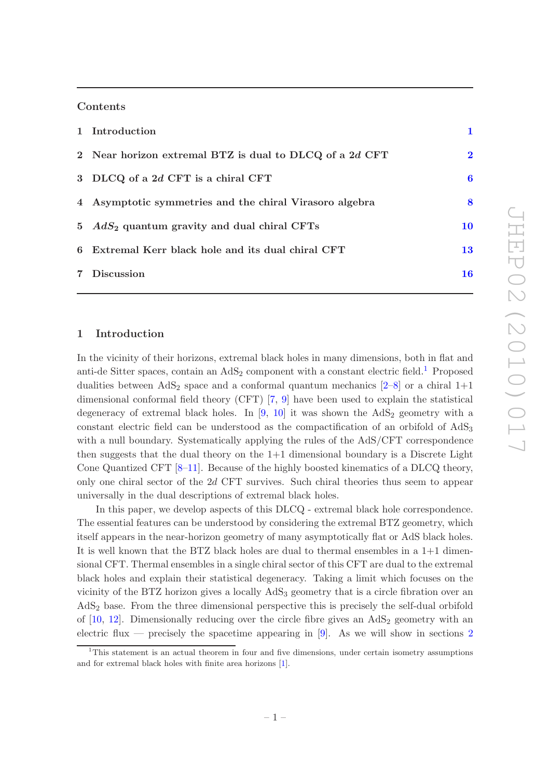# Contents

| 1 Introduction                                          |             |
|---------------------------------------------------------|-------------|
| 2 Near horizon extremal BTZ is dual to DLCQ of a 2d CFT | $\mathbf 2$ |
| 3 DLCQ of a 2d CFT is a chiral CFT                      | 6           |
| 4 Asymptotic symmetries and the chiral Virasoro algebra | 8           |
| 5 $AdS_2$ quantum gravity and dual chiral CFTs          | 10          |
| 6 Extremal Kerr black hole and its dual chiral CFT      | 13          |
| 7 Discussion                                            | 16          |

## <span id="page-2-0"></span>1 Introduction

In the vicinity of their horizons, extremal black holes in many dimensions, both in flat and anti-de Sitter spaces, contain an  $AdS_2$  component with a constant electric field.<sup>[1](#page-2-1)</sup> Proposed dualities between  $AdS_2$  space and a conformal quantum mechanics [\[2](#page-18-0)[–8\]](#page-18-1) or a chiral 1+1 dimensional conformal field theory (CFT) [\[7](#page-18-2), [9](#page-18-3)] have been used to explain the statistical degeneracy of extremal black holes. In  $[9, 10]$  $[9, 10]$  $[9, 10]$  it was shown the AdS<sub>2</sub> geometry with a constant electric field can be understood as the compactification of an orbifold of  $AdS_3$ with a null boundary. Systematically applying the rules of the AdS/CFT correspondence then suggests that the dual theory on the  $1+1$  dimensional boundary is a Discrete Light Cone Quantized CFT [\[8](#page-18-1)[–11\]](#page-18-5). Because of the highly boosted kinematics of a DLCQ theory, only one chiral sector of the 2d CFT survives. Such chiral theories thus seem to appear universally in the dual descriptions of extremal black holes.

In this paper, we develop aspects of this DLCQ - extremal black hole correspondence. The essential features can be understood by considering the extremal BTZ geometry, which itself appears in the near-horizon geometry of many asymptotically flat or AdS black holes. It is well known that the BTZ black holes are dual to thermal ensembles in a 1+1 dimensional CFT. Thermal ensembles in a single chiral sector of this CFT are dual to the extremal black holes and explain their statistical degeneracy. Taking a limit which focuses on the vicinity of the BTZ horizon gives a locally AdS<sup>3</sup> geometry that is a circle fibration over an AdS<sup>2</sup> base. From the three dimensional perspective this is precisely the self-dual orbifold of  $[10, 12]$  $[10, 12]$  $[10, 12]$ . Dimensionally reducing over the circle fibre gives an  $AdS<sub>2</sub>$  geometry with an electric flux — precisely the spacetime appearing in  $[9]$ . As we will show in sections [2](#page-3-0)

<span id="page-2-1"></span> $1$ This statement is an actual theorem in four and five dimensions, under certain isometry assumptions and for extremal black holes with finite area horizons [\[1\]](#page-18-7).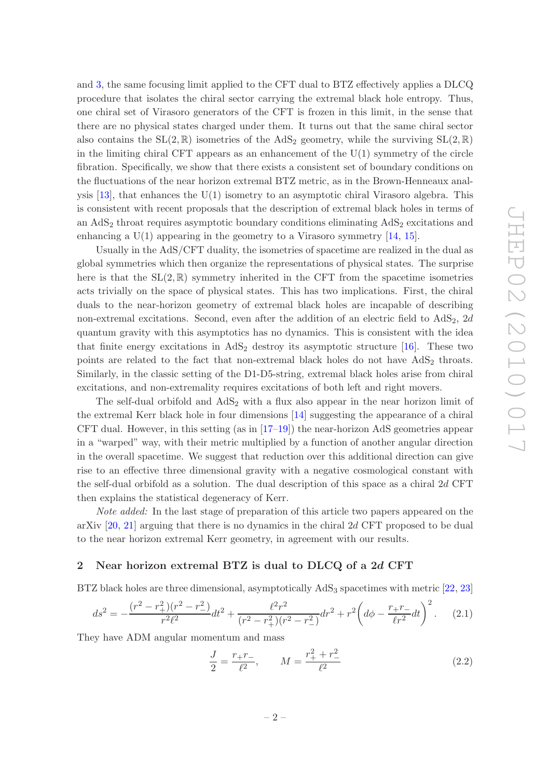and [3,](#page-7-0) the same focusing limit applied to the CFT dual to BTZ effectively applies a DLCQ procedure that isolates the chiral sector carrying the extremal black hole entropy. Thus, one chiral set of Virasoro generators of the CFT is frozen in this limit, in the sense that there are no physical states charged under them. It turns out that the same chiral sector also contains the  $SL(2,\mathbb{R})$  isometries of the AdS<sub>2</sub> geometry, while the surviving  $SL(2,\mathbb{R})$ in the limiting chiral CFT appears as an enhancement of the  $U(1)$  symmetry of the circle fibration. Specifically, we show that there exists a consistent set of boundary conditions on the fluctuations of the near horizon extremal BTZ metric, as in the Brown-Henneaux analysis [\[13](#page-18-8)], that enhances the U(1) isometry to an asymptotic chiral Virasoro algebra. This is consistent with recent proposals that the description of extremal black holes in terms of an  $AdS<sub>2</sub>$  throat requires asymptotic boundary conditions eliminating  $AdS<sub>2</sub>$  excitations and enhancing a  $U(1)$  appearing in the geometry to a Virasoro symmetry [\[14,](#page-19-0) [15](#page-19-1)].

Usually in the AdS/CFT duality, the isometries of spacetime are realized in the dual as global symmetries which then organize the representations of physical states. The surprise here is that the  $SL(2,\mathbb{R})$  symmetry inherited in the CFT from the spacetime isometries acts trivially on the space of physical states. This has two implications. First, the chiral duals to the near-horizon geometry of extremal black holes are incapable of describing non-extremal excitations. Second, even after the addition of an electric field to  $AdS_2$ , 2d quantum gravity with this asymptotics has no dynamics. This is consistent with the idea that finite energy excitations in  $AdS_2$  destroy its asymptotic structure [\[16\]](#page-19-2). These two points are related to the fact that non-extremal black holes do not have  $AdS_2$  throats. Similarly, in the classic setting of the D1-D5-string, extremal black holes arise from chiral excitations, and non-extremality requires excitations of both left and right movers.

The self-dual orbifold and  $AdS<sub>2</sub>$  with a flux also appear in the near horizon limit of the extremal Kerr black hole in four dimensions [\[14\]](#page-19-0) suggesting the appearance of a chiral CFT dual. However, in this setting (as in  $[17-19]$ ) the near-horizon AdS geometries appear in a "warped" way, with their metric multiplied by a function of another angular direction in the overall spacetime. We suggest that reduction over this additional direction can give rise to an effective three dimensional gravity with a negative cosmological constant with the self-dual orbifold as a solution. The dual description of this space as a chiral 2d CFT then explains the statistical degeneracy of Kerr.

*Note added:* In the last stage of preparation of this article two papers appeared on the arXiv [\[20](#page-19-5), [21\]](#page-19-6) arguing that there is no dynamics in the chiral 2d CFT proposed to be dual to the near horizon extremal Kerr geometry, in agreement with our results.

#### <span id="page-3-0"></span>2 Near horizon extremal BTZ is dual to DLCQ of a 2d CFT

BTZ black holes are three dimensional, asymptotically AdS<sup>3</sup> spacetimes with metric [\[22](#page-19-7), [23\]](#page-19-8)

<span id="page-3-1"></span>
$$
ds^{2} = -\frac{(r^{2} - r_{+}^{2})(r^{2} - r_{-}^{2})}{r^{2}\ell^{2}}dt^{2} + \frac{\ell^{2}r^{2}}{(r^{2} - r_{+}^{2})(r^{2} - r_{-}^{2})}dr^{2} + r^{2}\left(d\phi - \frac{r_{+}r_{-}}{\ell r^{2}}dt\right)^{2}.
$$
 (2.1)

They have ADM angular momentum and mass

$$
\frac{J}{2} = \frac{r_+ r_-}{\ell^2}, \qquad M = \frac{r_+^2 + r_-^2}{\ell^2} \tag{2.2}
$$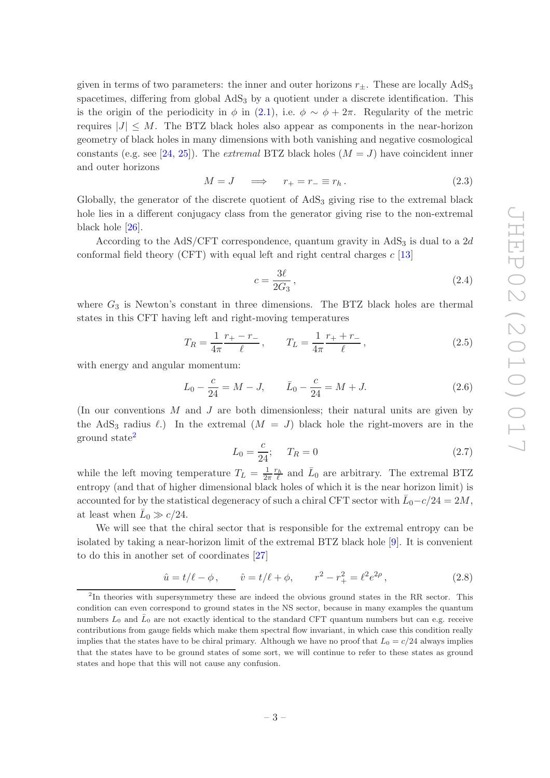given in terms of two parameters: the inner and outer horizons  $r_{+}$ . These are locally  $AdS_3$ spacetimes, differing from global  $AdS<sub>3</sub>$  by a quotient under a discrete identification. This is the origin of the periodicity in  $\phi$  in [\(2.1\)](#page-3-1), i.e.  $\phi \sim \phi + 2\pi$ . Regularity of the metric requires  $|J| \leq M$ . The BTZ black holes also appear as components in the near-horizon geometry of black holes in many dimensions with both vanishing and negative cosmological constants (e.g. see [\[24](#page-19-9), [25\]](#page-19-10)). The *extremal* BTZ black holes  $(M = J)$  have coincident inner and outer horizons

$$
M = J \quad \Longrightarrow \quad r_+ = r_- \equiv r_h. \tag{2.3}
$$

Globally, the generator of the discrete quotient of  $AdS<sub>3</sub>$  giving rise to the extremal black hole lies in a different conjugacy class from the generator giving rise to the non-extremal black hole [\[26\]](#page-19-11).

According to the AdS/CFT correspondence, quantum gravity in  $AdS_3$  is dual to a 2d conformal field theory (CFT) with equal left and right central charges  $c \, [13]$  $c \, [13]$  $c \, [13]$ 

<span id="page-4-2"></span>
$$
c = \frac{3\ell}{2G_3},\tag{2.4}
$$

where  $G_3$  is Newton's constant in three dimensions. The BTZ black holes are thermal states in this CFT having left and right-moving temperatures

<span id="page-4-1"></span>
$$
T_R = \frac{1}{4\pi} \frac{r_+ - r_-}{\ell}, \qquad T_L = \frac{1}{4\pi} \frac{r_+ + r_-}{\ell}, \tag{2.5}
$$

with energy and angular momentum:

$$
L_0 - \frac{c}{24} = M - J, \qquad \bar{L}_0 - \frac{c}{24} = M + J. \tag{2.6}
$$

(In our conventions  $M$  and  $J$  are both dimensionless; their natural units are given by the AdS<sub>3</sub> radius  $\ell$ .) In the extremal  $(M = J)$  black hole the right-movers are in the ground state[2](#page-4-0)

$$
L_0 = \frac{c}{24}; \qquad T_R = 0 \tag{2.7}
$$

while the left moving temperature  $T_L = \frac{1}{2\pi} \frac{r_h}{\ell}$  and  $\bar{L}_0$  are arbitrary. The extremal BTZ entropy (and that of higher dimensional black holes of which it is the near horizon limit) is accounted for by the statistical degeneracy of such a chiral CFT sector with  $\bar{L}_0 - c/24 = 2M$ , at least when  $\bar{L}_0 \gg c/24$ .

We will see that the chiral sector that is responsible for the extremal entropy can be isolated by taking a near-horizon limit of the extremal BTZ black hole [\[9\]](#page-18-3). It is convenient to do this in another set of coordinates [\[27](#page-19-12)]

$$
\hat{u} = t/\ell - \phi, \qquad \hat{v} = t/\ell + \phi, \qquad r^2 - r_+^2 = \ell^2 e^{2\rho}, \tag{2.8}
$$

<span id="page-4-0"></span><sup>&</sup>lt;sup>2</sup>In theories with supersymmetry these are indeed the obvious ground states in the RR sector. This condition can even correspond to ground states in the NS sector, because in many examples the quantum numbers  $L_0$  and  $\bar{L}_0$  are not exactly identical to the standard CFT quantum numbers but can e.g. receive contributions from gauge fields which make them spectral flow invariant, in which case this condition really implies that the states have to be chiral primary. Although we have no proof that  $L_0 = c/24$  always implies that the states have to be ground states of some sort, we will continue to refer to these states as ground states and hope that this will not cause any confusion.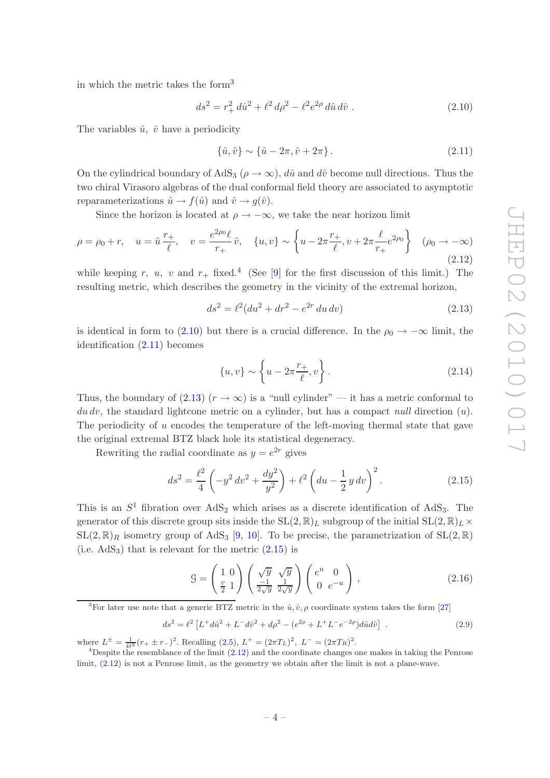in which the metric takes the form[3](#page-5-0)

<span id="page-5-2"></span>
$$
ds^{2} = r_{+}^{2} d\hat{u}^{2} + \ell^{2} d\rho^{2} - \ell^{2} e^{2\rho} d\hat{u} d\hat{v} . \qquad (2.10)
$$

The variables  $\hat{u}$ ,  $\hat{v}$  have a periodicity

<span id="page-5-3"></span>
$$
\{\hat{u}, \hat{v}\} \sim \{\hat{u} - 2\pi, \hat{v} + 2\pi\}.
$$
\n(2.11)

On the cylindrical boundary of AdS<sub>3</sub> ( $\rho \rightarrow \infty$ ), dû and dv̂ become null directions. Thus the two chiral Virasoro algebras of the dual conformal field theory are associated to asymptotic reparameterizations  $\hat{u} \to f(\hat{u})$  and  $\hat{v} \to g(\hat{v})$ .

Since the horizon is located at  $\rho \to -\infty$ , we take the near horizon limit

<span id="page-5-6"></span>
$$
\rho = \rho_0 + r, \quad u = \hat{u} \frac{r_+}{\ell}, \quad v = \frac{e^{2\rho_0 \ell}}{r_+} \hat{v}, \quad \{u, v\} \sim \left\{ u - 2\pi \frac{r_+}{\ell}, v + 2\pi \frac{\ell}{r_+} e^{2\rho_0} \right\} \quad (\rho_0 \to -\infty)
$$
\n(2.12)

while keeping r, u, v and  $r_{+}$  fixed.<sup>[4](#page-5-1)</sup> (See [\[9](#page-18-3)] for the first discussion of this limit.) The resulting metric, which describes the geometry in the vicinity of the extremal horizon,

<span id="page-5-4"></span>
$$
ds^{2} = \ell^{2}(du^{2} + dr^{2} - e^{2r} du dv)
$$
\n(2.13)

is identical in form to [\(2.10\)](#page-5-2) but there is a crucial difference. In the  $\rho_0 \to -\infty$  limit, the identification [\(2.11\)](#page-5-3) becomes

$$
\{u, v\} \sim \left\{u - 2\pi \frac{r_+}{\ell}, v\right\}.
$$
\n
$$
(2.14)
$$

Thus, the boundary of [\(2.13\)](#page-5-4)  $(r \to \infty)$  is a "null cylinder" — it has a metric conformal to dudv, the standard lightcone metric on a cylinder, but has a compact *null* direction (u). The periodicity of  $u$  encodes the temperature of the left-moving thermal state that gave the original extremal BTZ black hole its statistical degeneracy.

Rewriting the radial coordinate as  $y = e^{2r}$  gives

<span id="page-5-5"></span>
$$
ds^{2} = \frac{\ell^{2}}{4} \left( -y^{2} dv^{2} + \frac{dy^{2}}{y^{2}} \right) + \ell^{2} \left( du - \frac{1}{2} y dv \right)^{2}.
$$
 (2.15)

This is an  $S^1$  fibration over  $AdS_2$  which arises as a discrete identification of  $AdS_3$ . The generator of this discrete group sits inside the  $SL(2,\mathbb{R})_L$  subgroup of the initial  $SL(2,\mathbb{R})_L\times$  $SL(2,\mathbb{R})_R$  isometry group of AdS<sub>3</sub> [\[9](#page-18-3), [10](#page-18-4)]. To be precise, the parametrization of  $SL(2,\mathbb{R})$ (i.e.  $AdS_3$ ) that is relevant for the metric  $(2.15)$  is

$$
\mathcal{G} = \begin{pmatrix} 1 & 0 \\ \frac{v}{2} & 1 \end{pmatrix} \begin{pmatrix} \sqrt{y} & \sqrt{y} \\ \frac{-1}{2\sqrt{y}} & \frac{1}{2\sqrt{y}} \end{pmatrix} \begin{pmatrix} e^u & 0 \\ 0 & e^{-u} \end{pmatrix},
$$
\n(2.16)

<span id="page-5-0"></span><sup>3</sup>For later use note that a generic BTZ metric in the  $\hat{u}, \hat{v}, \rho$  coordinate system takes the form [\[27](#page-19-12)]

<span id="page-5-7"></span>
$$
ds^{2} = \ell^{2} \left[ L^{+} d\hat{u}^{2} + L^{-} d\hat{v}^{2} + d\rho^{2} - (e^{2\rho} + L^{+} L^{-} e^{-2\rho}) d\hat{u} d\hat{v} \right] . \tag{2.9}
$$

where  $L^{\pm} = \frac{1}{4\ell^2} (r_+ \pm r_-)^2$ . Recalling [\(2.5\)](#page-4-1),  $L^+ = (2\pi T_L)^2$ ,  $L^- = (2\pi T_R)^2$ .

<span id="page-5-1"></span><sup>&</sup>lt;sup>4</sup>Despite the resemblance of the limit  $(2.12)$  and the coordinate changes one makes in taking the Penrose limit, [\(2.12\)](#page-5-6) is not a Penrose limit, as the geometry we obtain after the limit is not a plane-wave.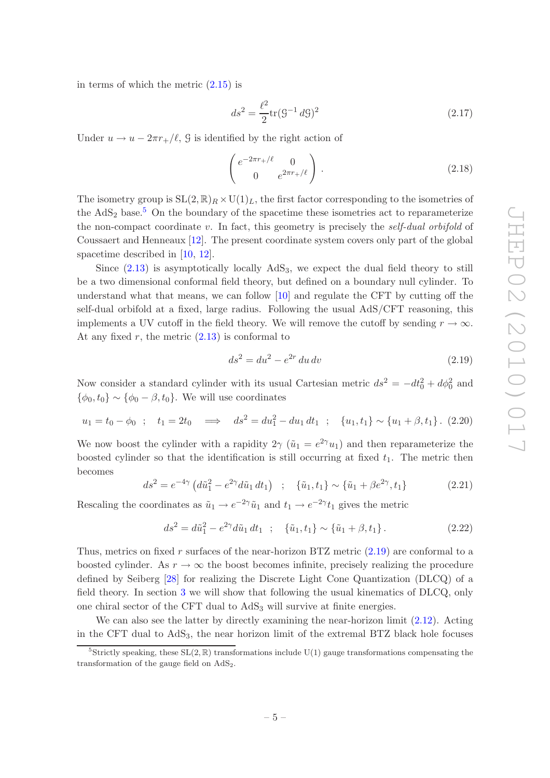in terms of which the metric  $(2.15)$  is

$$
ds^{2} = \frac{\ell^{2}}{2} \text{tr}(g^{-1} dG)^{2}
$$
 (2.17)

Under  $u \to u - 2\pi r_+/\ell$ ,  $\mathcal G$  is identified by the right action of

$$
\begin{pmatrix} e^{-2\pi r_+/\ell} & 0\\ 0 & e^{2\pi r_+/\ell} \end{pmatrix} .
$$
 (2.18)

The isometry group is  $SL(2,\mathbb{R})_R\times U(1)_L$ , the first factor corresponding to the isometries of the  $AdS_2$  base.<sup>[5](#page-6-0)</sup> On the boundary of the spacetime these isometries act to reparameterize the non-compact coordinate v. In fact, this geometry is precisely the *self-dual orbifold* of Coussaert and Henneaux [\[12\]](#page-18-6). The present coordinate system covers only part of the global spacetime described in [\[10,](#page-18-4) [12](#page-18-6)].

Since  $(2.13)$  is asymptotically locally  $AdS_3$ , we expect the dual field theory to still be a two dimensional conformal field theory, but defined on a boundary null cylinder. To understand what that means, we can follow [\[10](#page-18-4)] and regulate the CFT by cutting off the self-dual orbifold at a fixed, large radius. Following the usual AdS/CFT reasoning, this implements a UV cutoff in the field theory. We will remove the cutoff by sending  $r \to \infty$ . At any fixed  $r$ , the metric  $(2.13)$  is conformal to

<span id="page-6-1"></span>
$$
ds^2 = du^2 - e^{2r} \, du \, dv \tag{2.19}
$$

Now consider a standard cylinder with its usual Cartesian metric  $ds^2 = -dt_0^2 + d\phi_0^2$  and  $\{\phi_0, t_0\} \sim \{\phi_0 - \beta, t_0\}$ . We will use coordinates

<span id="page-6-2"></span>
$$
u_1 = t_0 - \phi_0 \quad ; \quad t_1 = 2t_0 \quad \implies \quad ds^2 = du_1^2 - du_1 \, dt_1 \quad ; \quad \{u_1, t_1\} \sim \{u_1 + \beta, t_1\} \, . \tag{2.20}
$$

We now boost the cylinder with a rapidity  $2\gamma$   $(\tilde{u}_1 = e^{2\gamma}u_1)$  and then reparameterize the boosted cylinder so that the identification is still occurring at fixed  $t_1$ . The metric then becomes

<span id="page-6-4"></span>
$$
ds^{2} = e^{-4\gamma} \left( d\tilde{u}_{1}^{2} - e^{2\gamma} d\tilde{u}_{1} dt_{1} \right) ; \quad \{\tilde{u}_{1}, t_{1}\} \sim \{\tilde{u}_{1} + \beta e^{2\gamma}, t_{1}\}
$$
 (2.21)

Rescaling the coordinates as  $\tilde{u}_1 \to e^{-2\gamma} \tilde{u}_1$  and  $t_1 \to e^{-2\gamma} t_1$  gives the metric

<span id="page-6-3"></span>
$$
ds^{2} = d\tilde{u}_{1}^{2} - e^{2\gamma} d\tilde{u}_{1} dt_{1} ; \quad \{\tilde{u}_{1}, t_{1}\} \sim \{\tilde{u}_{1} + \beta, t_{1}\}.
$$
 (2.22)

Thus, metrics on fixed r surfaces of the near-horizon BTZ metric  $(2.19)$  are conformal to a boosted cylinder. As  $r \to \infty$  the boost becomes infinite, precisely realizing the procedure defined by Seiberg [\[28](#page-19-13)] for realizing the Discrete Light Cone Quantization (DLCQ) of a field theory. In section [3](#page-7-0) we will show that following the usual kinematics of DLCQ, only one chiral sector of the CFT dual to  $AdS<sub>3</sub>$  will survive at finite energies.

We can also see the latter by directly examining the near-horizon limit  $(2.12)$ . Acting in the CFT dual to AdS3, the near horizon limit of the extremal BTZ black hole focuses

<span id="page-6-0"></span><sup>&</sup>lt;sup>5</sup>Strictly speaking, these  $SL(2, \mathbb{R})$  transformations include U(1) gauge transformations compensating the transformation of the gauge field on  $AdS<sub>2</sub>$ .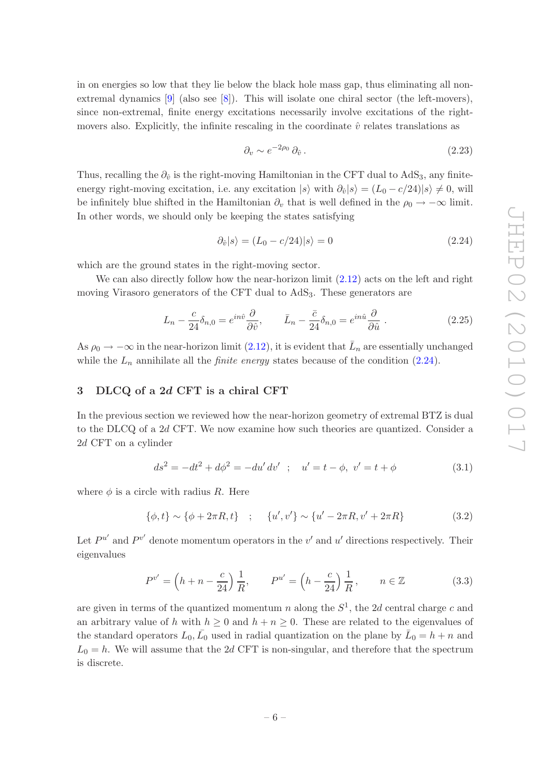in on energies so low that they lie below the black hole mass gap, thus eliminating all nonextremal dynamics [\[9](#page-18-3)] (also see [\[8](#page-18-1)]). This will isolate one chiral sector (the left-movers), since non-extremal, finite energy excitations necessarily involve excitations of the rightmovers also. Explicitly, the infinite rescaling in the coordinate  $\hat{v}$  relates translations as

$$
\partial_v \sim e^{-2\rho_0} \partial_{\hat{v}} \,. \tag{2.23}
$$

Thus, recalling the  $\partial_{\hat{v}}$  is the right-moving Hamiltonian in the CFT dual to AdS<sub>3</sub>, any finiteenergy right-moving excitation, i.e. any excitation  $|s\rangle$  with  $\partial_{\hat{v}}|s\rangle = (L_0 - c/24)|s\rangle \neq 0$ , will be infinitely blue shifted in the Hamiltonian  $\partial_v$  that is well defined in the  $\rho_0 \to -\infty$  limit. In other words, we should only be keeping the states satisfying

<span id="page-7-1"></span>
$$
\partial_{\hat{v}}|s\rangle = (L_0 - c/24)|s\rangle = 0\tag{2.24}
$$

which are the ground states in the right-moving sector.

We can also directly follow how the near-horizon limit  $(2.12)$  acts on the left and right moving Virasoro generators of the CFT dual to AdS<sub>3</sub>. These generators are

<span id="page-7-3"></span>
$$
L_n - \frac{c}{24} \delta_{n,0} = e^{in\hat{v}} \frac{\partial}{\partial \hat{v}}, \qquad \bar{L}_n - \frac{\bar{c}}{24} \delta_{n,0} = e^{in\hat{u}} \frac{\partial}{\partial \hat{u}}.
$$
 (2.25)

As  $\rho_0 \to -\infty$  in the near-horizon limit [\(2.12\)](#page-5-6), it is evident that  $\bar{L}_n$  are essentially unchanged while the  $L_n$  annihilate all the *finite energy* states because of the condition  $(2.24)$ .

## <span id="page-7-0"></span>3 DLCQ of a 2d CFT is a chiral CFT

In the previous section we reviewed how the near-horizon geometry of extremal BTZ is dual to the DLCQ of a 2d CFT. We now examine how such theories are quantized. Consider a 2d CFT on a cylinder

<span id="page-7-2"></span>
$$
ds^{2} = -dt^{2} + d\phi^{2} = -du'dv'; \quad u' = t - \phi, \ v' = t + \phi \tag{3.1}
$$

where  $\phi$  is a circle with radius R. Here

$$
\{\phi, t\} \sim \{\phi + 2\pi R, t\} \quad ; \quad \{u', v'\} \sim \{u' - 2\pi R, v' + 2\pi R\} \tag{3.2}
$$

Let  $P^{u'}$  and  $P^{v'}$  denote momentum operators in the  $v'$  and  $u'$  directions respectively. Their eigenvalues

$$
P^{v'} = \left(h + n - \frac{c}{24}\right)\frac{1}{R}, \qquad P^{u'} = \left(h - \frac{c}{24}\right)\frac{1}{R}, \qquad n \in \mathbb{Z}
$$
 (3.3)

are given in terms of the quantized momentum n along the  $S<sup>1</sup>$ , the 2d central charge c and an arbitrary value of h with  $h > 0$  and  $h + n > 0$ . These are related to the eigenvalues of the standard operators  $L_0, \bar{L_0}$  used in radial quantization on the plane by  $\bar{L}_0 = h + n$  and  $L_0 = h$ . We will assume that the 2d CFT is non-singular, and therefore that the spectrum is discrete.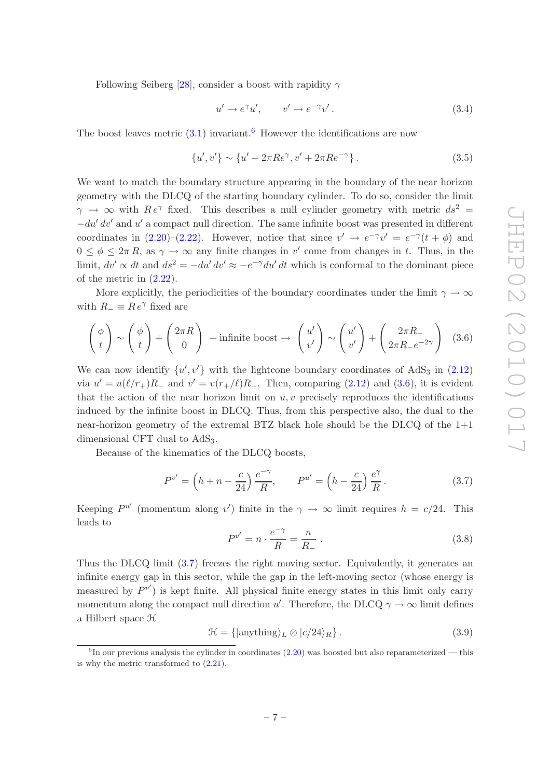Following Seiberg [\[28](#page-19-13)], consider a boost with rapidity  $\gamma$ 

<span id="page-8-3"></span>
$$
u' \to e^{\gamma} u', \qquad v' \to e^{-\gamma} v'. \tag{3.4}
$$

The boost leaves metric  $(3.1)$  invariant.<sup>[6](#page-8-0)</sup> However the identifications are now

$$
\{u',v'\}\sim\{u'-2\pi Re^{\gamma},v'+2\pi Re^{-\gamma}\}.
$$
 (3.5)

We want to match the boundary structure appearing in the boundary of the near horizon geometry with the DLCQ of the starting boundary cylinder. To do so, consider the limit  $\gamma \rightarrow \infty$  with  $Re^{\gamma}$  fixed. This describes a null cylinder geometry with metric  $ds^2 =$  $-du'dv'$  and u' a compact null direction. The same infinite boost was presented in different coordinates in [\(2.20\)](#page-6-2)–[\(2.22\)](#page-6-3). However, notice that since  $v' \to e^{-\gamma}v' = e^{-\gamma}(t + \phi)$  and  $0 \leq \phi \leq 2\pi R$ , as  $\gamma \to \infty$  any finite changes in v' come from changes in t. Thus, in the limit,  $dv' \propto dt$  and  $ds^2 = -du'dv' \approx -e^{-\gamma}du'dt$  which is conformal to the dominant piece of the metric in [\(2.22\)](#page-6-3).

More explicitly, the periodicities of the boundary coordinates under the limit  $\gamma \to \infty$ with  $R_-\equiv Re^{\gamma}$  fixed are

<span id="page-8-1"></span>
$$
\begin{pmatrix} \phi \\ t \end{pmatrix} \sim \begin{pmatrix} \phi \\ t \end{pmatrix} + \begin{pmatrix} 2\pi R \\ 0 \end{pmatrix} - \text{infinite boost} \rightarrow \begin{pmatrix} u' \\ v' \end{pmatrix} \sim \begin{pmatrix} u' \\ v' \end{pmatrix} + \begin{pmatrix} 2\pi R_- \\ 2\pi R_- e^{-2\gamma} \end{pmatrix} \tag{3.6}
$$

We can now identify  $\{u', v'\}$  with the lightcone boundary coordinates of AdS<sub>3</sub> in  $(2.12)$ via  $u' = u(\ell/r_+)R_-$  and  $v' = v(r_+/\ell)R_-$ . Then, comparing [\(2.12\)](#page-5-6) and [\(3.6\)](#page-8-1), it is evident that the action of the near horizon limit on  $u, v$  precisely reproduces the identifications induced by the infinite boost in DLCQ. Thus, from this perspective also, the dual to the near-horizon geometry of the extremal BTZ black hole should be the DLCQ of the 1+1 dimensional CFT dual to  $AdS<sub>3</sub>$ .

Because of the kinematics of the DLCQ boosts,

<span id="page-8-2"></span>
$$
P^{v'} = \left(h + n - \frac{c}{24}\right) \frac{e^{-\gamma}}{R}, \qquad P^{u'} = \left(h - \frac{c}{24}\right) \frac{e^{\gamma}}{R}.
$$
 (3.7)

Keeping  $P^{u'}$  (momentum along v') finite in the  $\gamma \to \infty$  limit requires  $h = c/24$ . This leads to

$$
P^{v'} = n \cdot \frac{e^{-\gamma}}{R} = \frac{n}{R_{-}} \tag{3.8}
$$

Thus the DLCQ limit [\(3.7\)](#page-8-2) freezes the right moving sector. Equivalently, it generates an infinite energy gap in this sector, while the gap in the left-moving sector (whose energy is measured by  $P^{v'}$ ) is kept finite. All physical finite energy states in this limit only carry momentum along the compact null direction  $u'$ . Therefore, the DLCQ  $\gamma \to \infty$  limit defines a Hilbert space H

$$
\mathcal{H} = \{|\text{anything}\rangle_L \otimes |c/24\rangle_R\}.
$$
\n(3.9)

<span id="page-8-0"></span> ${}^{6}$ In our previous analysis the cylinder in coordinates [\(2.20\)](#page-6-2) was boosted but also reparameterized — this is why the metric transformed to [\(2.21\)](#page-6-4).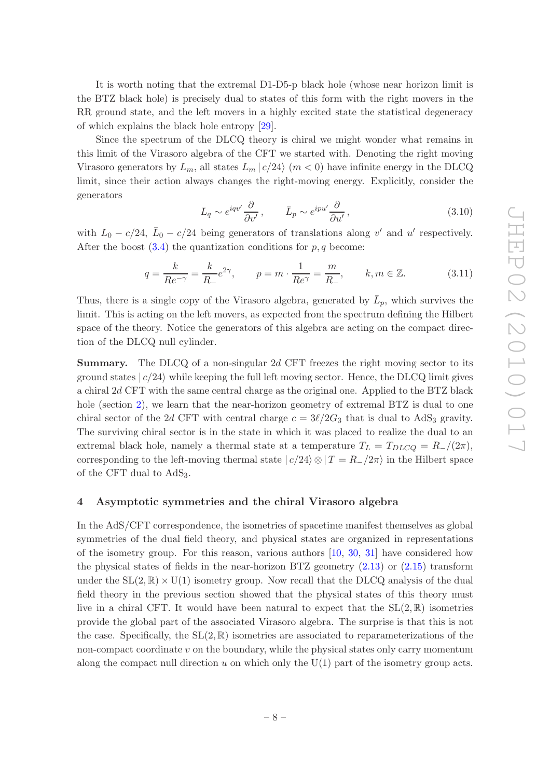It is worth noting that the extremal D1-D5-p black hole (whose near horizon limit is the BTZ black hole) is precisely dual to states of this form with the right movers in the RR ground state, and the left movers in a highly excited state the statistical degeneracy of which explains the black hole entropy [\[29](#page-19-14)].

Since the spectrum of the DLCQ theory is chiral we might wonder what remains in this limit of the Virasoro algebra of the CFT we started with. Denoting the right moving Virasoro generators by  $L_m$ , all states  $L_m | c/24 \rangle$  ( $m < 0$ ) have infinite energy in the DLCQ limit, since their action always changes the right-moving energy. Explicitly, consider the generators

$$
L_q \sim e^{iqv'} \frac{\partial}{\partial v'}, \qquad \bar{L}_p \sim e^{ipu'} \frac{\partial}{\partial u'}, \qquad (3.10)
$$

with  $L_0 - c/24$ ,  $\bar{L}_0 - c/24$  being generators of translations along v' and u' respectively. After the boost  $(3.4)$  the quantization conditions for  $p, q$  become:

$$
q = \frac{k}{Re^{-\gamma}} = \frac{k}{R_{-}} e^{2\gamma}, \qquad p = m \cdot \frac{1}{Re^{\gamma}} = \frac{m}{R_{-}}, \qquad k, m \in \mathbb{Z}.
$$
 (3.11)

Thus, there is a single copy of the Virasoro algebra, generated by  $\bar{L}_p$ , which survives the limit. This is acting on the left movers, as expected from the spectrum defining the Hilbert space of the theory. Notice the generators of this algebra are acting on the compact direction of the DLCQ null cylinder.

Summary. The DLCQ of a non-singular 2d CFT freezes the right moving sector to its ground states  $|c/24\rangle$  while keeping the full left moving sector. Hence, the DLCQ limit gives a chiral 2d CFT with the same central charge as the original one. Applied to the BTZ black hole (section [2\)](#page-3-0), we learn that the near-horizon geometry of extremal BTZ is dual to one chiral sector of the 2d CFT with central charge  $c = 3\ell/2G_3$  that is dual to AdS<sub>3</sub> gravity. The surviving chiral sector is in the state in which it was placed to realize the dual to an extremal black hole, namely a thermal state at a temperature  $T_L = T_{DLCQ} = R_{-}/(2\pi)$ , corresponding to the left-moving thermal state  $| c/24 \rangle \otimes | T = R_-/2\pi \rangle$  in the Hilbert space of the CFT dual to AdS3.

# <span id="page-9-0"></span>4 Asymptotic symmetries and the chiral Virasoro algebra

In the AdS/CFT correspondence, the isometries of spacetime manifest themselves as global symmetries of the dual field theory, and physical states are organized in representations of the isometry group. For this reason, various authors [\[10](#page-18-4), [30](#page-19-15), [31\]](#page-19-16) have considered how the physical states of fields in the near-horizon BTZ geometry  $(2.13)$  or  $(2.15)$  transform under the  $SL(2,\mathbb{R})\times U(1)$  isometry group. Now recall that the DLCQ analysis of the dual field theory in the previous section showed that the physical states of this theory must live in a chiral CFT. It would have been natural to expect that the  $SL(2,\mathbb{R})$  isometries provide the global part of the associated Virasoro algebra. The surprise is that this is not the case. Specifically, the  $SL(2,\mathbb{R})$  isometries are associated to reparameterizations of the non-compact coordinate  $v$  on the boundary, while the physical states only carry momentum along the compact null direction u on which only the  $U(1)$  part of the isometry group acts.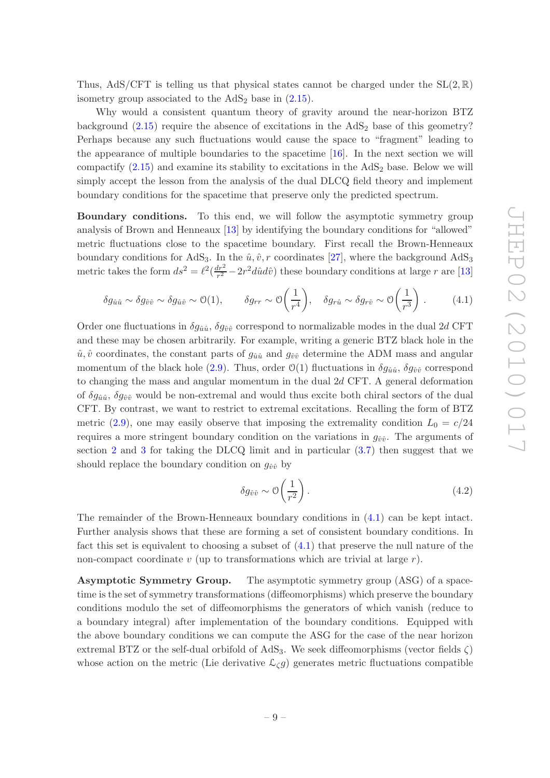Thus, AdS/CFT is telling us that physical states cannot be charged under the  $SL(2,\mathbb{R})$ isometry group associated to the  $AdS_2$  base in  $(2.15)$ .

Why would a consistent quantum theory of gravity around the near-horizon BTZ background  $(2.15)$  require the absence of excitations in the  $AdS<sub>2</sub>$  base of this geometry? Perhaps because any such fluctuations would cause the space to "fragment" leading to the appearance of multiple boundaries to the spacetime [\[16](#page-19-2)]. In the next section we will compactify  $(2.15)$  and examine its stability to excitations in the  $AdS<sub>2</sub>$  base. Below we will simply accept the lesson from the analysis of the dual DLCQ field theory and implement boundary conditions for the spacetime that preserve only the predicted spectrum.

Boundary conditions. To this end, we will follow the asymptotic symmetry group analysis of Brown and Henneaux [\[13\]](#page-18-8) by identifying the boundary conditions for "allowed" metric fluctuations close to the spacetime boundary. First recall the Brown-Henneaux boundary conditions for AdS<sub>3</sub>. In the  $\hat{u}, \hat{v}, r$  coordinates [\[27](#page-19-12)], where the background AdS<sub>3</sub> metric takes the form  $ds^2 = \ell^2 \left(\frac{dr^2}{r^2}\right)$  $\frac{dr^2}{r^2} - 2r^2 d\hat{u}d\hat{v}$  these boundary conditions at large r are [\[13\]](#page-18-8)

$$
\delta g_{\hat{u}\hat{u}} \sim \delta g_{\hat{v}\hat{v}} \sim \delta g_{\hat{u}\hat{v}} \sim \mathcal{O}(1), \qquad \delta g_{rr} \sim \mathcal{O}\left(\frac{1}{r^4}\right), \quad \delta g_{r\hat{u}} \sim \delta g_{r\hat{v}} \sim \mathcal{O}\left(\frac{1}{r^3}\right). \tag{4.1}
$$

Order one fluctuations in  $\delta g_{\hat{u}\hat{u}}$ ,  $\delta g_{\hat{v}\hat{v}}$  correspond to normalizable modes in the dual 2d CFT and these may be chosen arbitrarily. For example, writing a generic BTZ black hole in the  $\hat{u}, \hat{v}$  coordinates, the constant parts of  $g_{\hat{u}\hat{u}}$  and  $g_{\hat{v}\hat{v}}$  determine the ADM mass and angular momentum of the black hole [\(2.9\)](#page-5-7). Thus, order  $\mathcal{O}(1)$  fluctuations in  $\delta g_{\hat{u}\hat{u}}, \delta g_{\hat{v}\hat{v}}$  correspond to changing the mass and angular momentum in the dual 2d CFT. A general deformation of  $\delta g_{\hat{u}\hat{u}}$ ,  $\delta g_{\hat{v}\hat{v}}$  would be non-extremal and would thus excite both chiral sectors of the dual CFT. By contrast, we want to restrict to extremal excitations. Recalling the form of BTZ metric [\(2.9\)](#page-5-7), one may easily observe that imposing the extremality condition  $L_0 = c/24$ requires a more stringent boundary condition on the variations in  $g_{\hat{v}\hat{v}}$ . The arguments of section [2](#page-3-0) and [3](#page-7-0) for taking the DLCQ limit and in particular [\(3.7\)](#page-8-2) then suggest that we should replace the boundary condition on  $g_{\hat{v}\hat{v}}$  by

$$
\delta g_{\hat{v}\hat{v}} \sim \mathcal{O}\left(\frac{1}{r^2}\right). \tag{4.2}
$$

The remainder of the Brown-Henneaux boundary conditions in [\(4.1\)](#page-11-1) can be kept intact. Further analysis shows that these are forming a set of consistent boundary conditions. In fact this set is equivalent to choosing a subset of  $(4.1)$  that preserve the null nature of the non-compact coordinate  $v$  (up to transformations which are trivial at large  $r$ ).

Asymptotic Symmetry Group. The asymptotic symmetry group (ASG) of a spacetime is the set of symmetry transformations (diffeomorphisms) which preserve the boundary conditions modulo the set of diffeomorphisms the generators of which vanish (reduce to a boundary integral) after implementation of the boundary conditions. Equipped with the above boundary conditions we can compute the ASG for the case of the near horizon extremal BTZ or the self-dual orbifold of AdS<sub>3</sub>. We seek diffeomorphisms (vector fields  $\zeta$ ) whose action on the metric (Lie derivative  $\mathcal{L}_{\zeta}g$ ) generates metric fluctuations compatible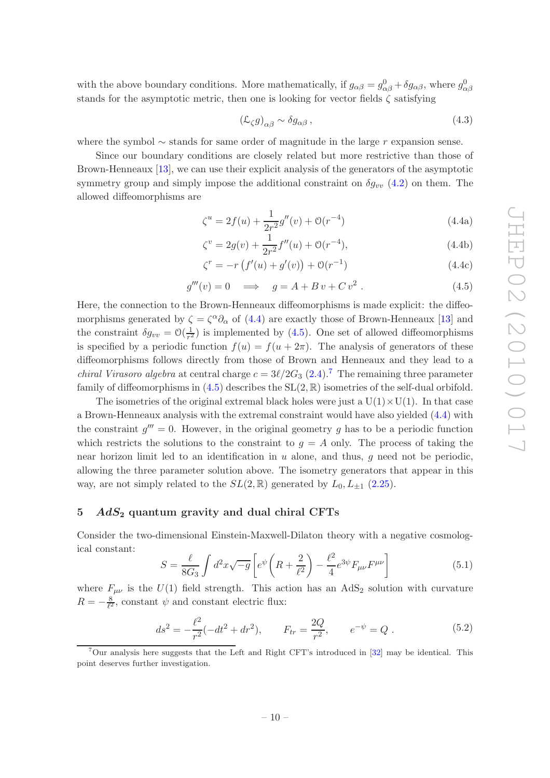with the above boundary conditions. More mathematically, if  $g_{\alpha\beta} = g_{\alpha\beta}^0 + \delta g_{\alpha\beta}$ , where  $g_{\alpha\beta}^0$ stands for the asymptotic metric, then one is looking for vector fields  $\zeta$  satisfying

<span id="page-11-2"></span><span id="page-11-1"></span>
$$
\left(\mathcal{L}_{\zeta}g\right)_{\alpha\beta} \sim \delta g_{\alpha\beta} \,,\tag{4.3}
$$

where the symbol  $\sim$  stands for same order of magnitude in the large r expansion sense.

Since our boundary conditions are closely related but more restrictive than those of Brown-Henneaux [\[13](#page-18-8)], we can use their explicit analysis of the generators of the asymptotic symmetry group and simply impose the additional constraint on  $\delta g_{vv}$  [\(4.2\)](#page-11-2) on them. The allowed diffeomorphisms are

<span id="page-11-3"></span>
$$
\zeta^{u} = 2f(u) + \frac{1}{2r^{2}}g''(v) + \mathcal{O}(r^{-4})
$$
\n(4.4a)

$$
\zeta^v = 2g(v) + \frac{1}{2r^2}f''(u) + \mathcal{O}(r^{-4}),\tag{4.4b}
$$

$$
\zeta^{r} = -r(f'(u) + g'(v)) + \mathcal{O}(r^{-1})
$$
\n(4.4c)

<span id="page-11-4"></span>
$$
g'''(v) = 0 \quad \Longrightarrow \quad g = A + B v + C v^2 \tag{4.5}
$$

Here, the connection to the Brown-Henneaux diffeomorphisms is made explicit: the diffeomorphisms generated by  $\zeta = \zeta^{\alpha} \partial_{\alpha}$  of [\(4.4\)](#page-11-3) are exactly those of Brown-Henneaux [\[13](#page-18-8)] and the constraint  $\delta g_{vv} = \mathcal{O}(\frac{1}{r^2})$  $(\frac{1}{r^2})$  is implemented by [\(4.5\)](#page-11-4). One set of allowed diffeomorphisms is specified by a periodic function  $f(u) = f(u + 2\pi)$ . The analysis of generators of these diffeomorphisms follows directly from those of Brown and Henneaux and they lead to a *chiral Virasoro algebra* at central charge  $c = 3\ell/2G_3$  [\(2.4\)](#page-4-2).<sup>[7](#page-11-5)</sup> The remaining three parameter family of diffeomorphisms in  $(4.5)$  describes the  $SL(2, \mathbb{R})$  isometries of the self-dual orbifold.

The isometries of the original extremal black holes were just a  $U(1) \times U(1)$ . In that case a Brown-Henneaux analysis with the extremal constraint would have also yielded [\(4.4\)](#page-11-3) with the constraint  $g''' = 0$ . However, in the original geometry g has to be a periodic function which restricts the solutions to the constraint to  $q = A$  only. The process of taking the near horizon limit led to an identification in  $u$  alone, and thus,  $q$  need not be periodic, allowing the three parameter solution above. The isometry generators that appear in this way, are not simply related to the  $SL(2,\mathbb{R})$  generated by  $L_0, L_{\pm 1}$  [\(2.25\)](#page-7-3).

# <span id="page-11-0"></span> $5$   $AdS<sub>2</sub>$  quantum gravity and dual chiral CFTs

Consider the two-dimensional Einstein-Maxwell-Dilaton theory with a negative cosmological constant:

<span id="page-11-7"></span>
$$
S = \frac{\ell}{8G_3} \int d^2x \sqrt{-g} \left[ e^{\psi} \left( R + \frac{2}{\ell^2} \right) - \frac{\ell^2}{4} e^{3\psi} F_{\mu\nu} F^{\mu\nu} \right] \tag{5.1}
$$

where  $F_{\mu\nu}$  is the  $U(1)$  field strength. This action has an AdS<sub>2</sub> solution with curvature  $R=-\frac{8}{\ell^2}$  $\frac{8}{\ell^2}$ , constant  $\psi$  and constant electric flux:

$$
ds^{2} = -\frac{\ell^{2}}{r^{2}}(-dt^{2} + dr^{2}), \qquad F_{tr} = \frac{2Q}{r^{2}}, \qquad e^{-\psi} = Q.
$$
 (5.2)

<span id="page-11-6"></span><span id="page-11-5"></span><sup>&</sup>lt;sup>7</sup>Our analysis here suggests that the Left and Right CFT's introduced in  $[32]$  may be identical. This point deserves further investigation.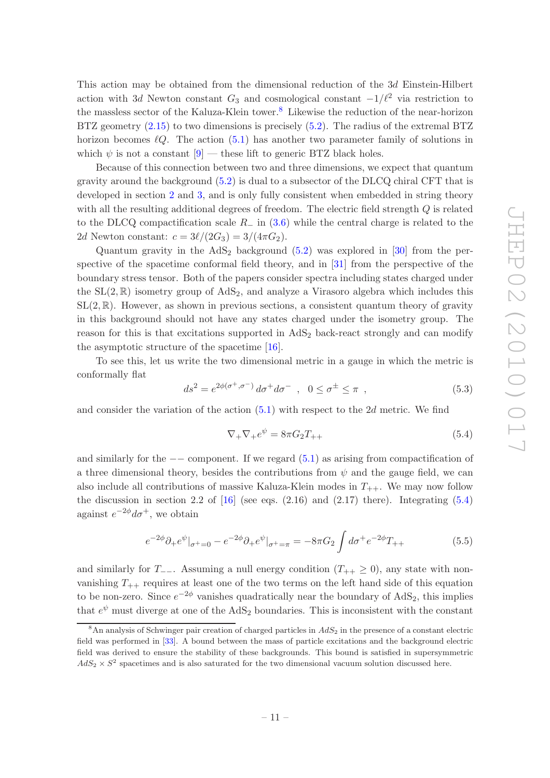This action may be obtained from the dimensional reduction of the 3d Einstein-Hilbert action with 3d Newton constant  $G_3$  and cosmological constant  $-1/\ell^2$  via restriction to the massless sector of the Kaluza-Klein tower.[8](#page-12-0) Likewise the reduction of the near-horizon BTZ geometry [\(2.15\)](#page-5-5) to two dimensions is precisely [\(5.2\)](#page-11-6). The radius of the extremal BTZ horizon becomes  $lQ$ . The action  $(5.1)$  has another two parameter family of solutions in which  $\psi$  is not a constant [\[9\]](#page-18-3) — these lift to generic BTZ black holes.

Because of this connection between two and three dimensions, we expect that quantum gravity around the background [\(5.2\)](#page-11-6) is dual to a subsector of the DLCQ chiral CFT that is developed in section [2](#page-3-0) and [3,](#page-7-0) and is only fully consistent when embedded in string theory with all the resulting additional degrees of freedom. The electric field strength Q is related to the DLCQ compactification scale  $R_-\,$  in [\(3.6\)](#page-8-1) while the central charge is related to the 2d Newton constant:  $c = 3\ell/(2G_3) = 3/(4\pi G_2)$ .

Quantum gravity in the  $AdS_2$  background  $(5.2)$  was explored in [\[30](#page-19-15)] from the perspective of the spacetime conformal field theory, and in [\[31](#page-19-16)] from the perspective of the boundary stress tensor. Both of the papers consider spectra including states charged under the  $SL(2,\mathbb{R})$  isometry group of  $AdS_2$ , and analyze a Virasoro algebra which includes this  $SL(2,\mathbb{R})$ . However, as shown in previous sections, a consistent quantum theory of gravity in this background should not have any states charged under the isometry group. The reason for this is that excitations supported in AdS<sub>2</sub> back-react strongly and can modify the asymptotic structure of the spacetime [\[16](#page-19-2)].

To see this, let us write the two dimensional metric in a gauge in which the metric is conformally flat

$$
ds^2 = e^{2\phi(\sigma^+,\sigma^-)} d\sigma^+ d\sigma^- , \quad 0 \le \sigma^{\pm} \le \pi , \tag{5.3}
$$

and consider the variation of the action [\(5.1\)](#page-11-7) with respect to the 2d metric. We find

<span id="page-12-1"></span>
$$
\nabla_{+}\nabla_{+}e^{\psi} = 8\pi G_{2}T_{++} \tag{5.4}
$$

and similarly for the  $-$  component. If we regard  $(5.1)$  as arising from compactification of a three dimensional theory, besides the contributions from  $\psi$  and the gauge field, we can also include all contributions of massive Kaluza-Klein modes in  $T_{++}$ . We may now follow the discussion in section 2.2 of  $[16]$  (see eqs.  $(2.16)$ ) and  $(2.17)$  there). Integrating  $(5.4)$ against  $e^{-2\phi}d\sigma^+$ , we obtain

$$
e^{-2\phi}\partial_{+}e^{\psi}|_{\sigma^{+}=0} - e^{-2\phi}\partial_{+}e^{\psi}|_{\sigma^{+}=\pi} = -8\pi G_{2} \int d\sigma^{+}e^{-2\phi}T_{++}
$$
(5.5)

and similarly for  $T_{-}$ . Assuming a null energy condition  $(T_{++} \geq 0)$ , any state with nonvanishing  $T_{++}$  requires at least one of the two terms on the left hand side of this equation to be non-zero. Since  $e^{-2\phi}$  vanishes quadratically near the boundary of  $AdS_2$ , this implies that  $e^{\psi}$  must diverge at one of the AdS<sub>2</sub> boundaries. This is inconsistent with the constant

<span id="page-12-0"></span><sup>&</sup>lt;sup>8</sup>An analysis of Schwinger pair creation of charged particles in  $AdS_2$  in the presence of a constant electric field was performed in [\[33\]](#page-20-0). A bound between the mass of particle excitations and the background electric field was derived to ensure the stability of these backgrounds. This bound is satisfied in supersymmetric  $AdS_2 \times S^2$  spacetimes and is also saturated for the two dimensional vacuum solution discussed here.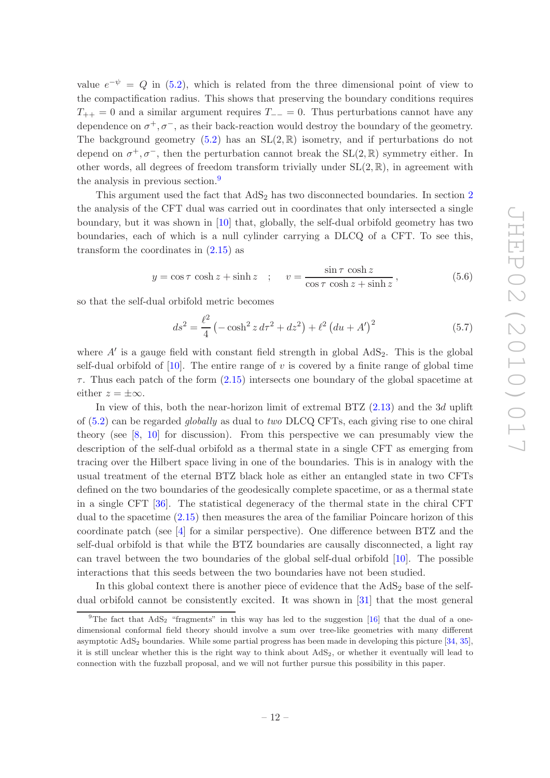value  $e^{-\psi} = Q$  in [\(5.2\)](#page-11-6), which is related from the three dimensional point of view to the compactification radius. This shows that preserving the boundary conditions requires  $T_{++} = 0$  and a similar argument requires  $T_{--} = 0$ . Thus perturbations cannot have any dependence on  $\sigma^+$ ,  $\sigma^-$ , as their back-reaction would destroy the boundary of the geometry. The background geometry  $(5.2)$  has an  $SL(2,\mathbb{R})$  isometry, and if perturbations do not depend on  $\sigma^+$ ,  $\sigma^-$ , then the perturbation cannot break the SL(2, R) symmetry either. In other words, all degrees of freedom transform trivially under  $SL(2,\mathbb{R})$ , in agreement with the analysis in previous section.<sup>[9](#page-13-0)</sup>

This argument used the fact that  $AdS_2$  $AdS_2$  has two disconnected boundaries. In section 2 the analysis of the CFT dual was carried out in coordinates that only intersected a single boundary, but it was shown in [\[10](#page-18-4)] that, globally, the self-dual orbifold geometry has two boundaries, each of which is a null cylinder carrying a DLCQ of a CFT. To see this, transform the coordinates in  $(2.15)$  as

$$
y = \cos \tau \cosh z + \sinh z \quad ; \quad v = \frac{\sin \tau \cosh z}{\cos \tau \cosh z + \sinh z}, \tag{5.6}
$$

so that the self-dual orbifold metric becomes

$$
ds^{2} = \frac{\ell^{2}}{4} \left( -\cosh^{2} z \, d\tau^{2} + dz^{2} \right) + \ell^{2} \left( du + A' \right)^{2}
$$
 (5.7)

where  $A'$  is a gauge field with constant field strength in global  $AdS_2$ . This is the global self-dual orbifold of [\[10](#page-18-4)]. The entire range of v is covered by a finite range of global time  $\tau$ . Thus each patch of the form  $(2.15)$  intersects one boundary of the global spacetime at either  $z = \pm \infty$ .

In view of this, both the near-horizon limit of extremal BTZ [\(2.13\)](#page-5-4) and the 3d uplift of [\(5.2\)](#page-11-6) can be regarded *globally* as dual to *two* DLCQ CFTs, each giving rise to one chiral theory (see [\[8,](#page-18-1) [10](#page-18-4)] for discussion). From this perspective we can presumably view the description of the self-dual orbifold as a thermal state in a single CFT as emerging from tracing over the Hilbert space living in one of the boundaries. This is in analogy with the usual treatment of the eternal BTZ black hole as either an entangled state in two CFTs defined on the two boundaries of the geodesically complete spacetime, or as a thermal state in a single CFT [\[36](#page-20-1)]. The statistical degeneracy of the thermal state in the chiral CFT dual to the spacetime [\(2.15\)](#page-5-5) then measures the area of the familiar Poincare horizon of this coordinate patch (see [\[4](#page-18-9)] for a similar perspective). One difference between BTZ and the self-dual orbifold is that while the BTZ boundaries are causally disconnected, a light ray can travel between the two boundaries of the global self-dual orbifold [\[10\]](#page-18-4). The possible interactions that this seeds between the two boundaries have not been studied.

In this global context there is another piece of evidence that the  $AdS<sub>2</sub>$  base of the selfdual orbifold cannot be consistently excited. It was shown in [\[31](#page-19-16)] that the most general

<span id="page-13-0"></span><sup>&</sup>lt;sup>9</sup>The fact that  $AdS_2$  "fragments" in this way has led to the suggestion [\[16\]](#page-19-2) that the dual of a onedimensional conformal field theory should involve a sum over tree-like geometries with many different asymptotic AdS<sup>2</sup> boundaries. While some partial progress has been made in developing this picture [\[34](#page-20-2), [35\]](#page-20-3), it is still unclear whether this is the right way to think about AdS2, or whether it eventually will lead to connection with the fuzzball proposal, and we will not further pursue this possibility in this paper.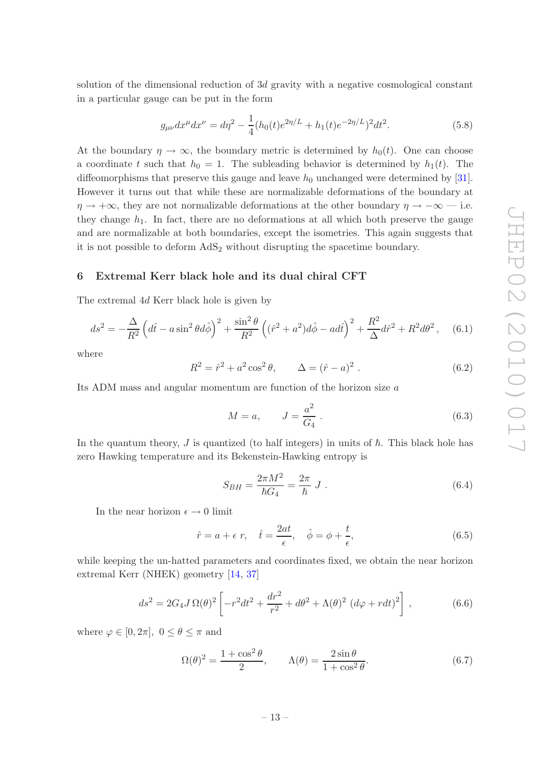solution of the dimensional reduction of 3d gravity with a negative cosmological constant in a particular gauge can be put in the form

$$
g_{\mu\nu}dx^{\mu}dx^{\nu} = d\eta^2 - \frac{1}{4}(h_0(t)e^{2\eta/L} + h_1(t)e^{-2\eta/L})^2dt^2.
$$
 (5.8)

At the boundary  $\eta \to \infty$ , the boundary metric is determined by  $h_0(t)$ . One can choose a coordinate t such that  $h_0 = 1$ . The subleading behavior is determined by  $h_1(t)$ . The diffeomorphisms that preserve this gauge and leave  $h_0$  unchanged were determined by [\[31\]](#page-19-16). However it turns out that while these are normalizable deformations of the boundary at  $\eta \to +\infty$ , they are not normalizable deformations at the other boundary  $\eta \to -\infty$  — i.e. they change  $h_1$ . In fact, there are no deformations at all which both preserve the gauge and are normalizable at both boundaries, except the isometries. This again suggests that it is not possible to deform  $AdS<sub>2</sub>$  without disrupting the spacetime boundary.

### <span id="page-14-0"></span>6 Extremal Kerr black hole and its dual chiral CFT

The extremal 4d Kerr black hole is given by

$$
ds^{2} = -\frac{\Delta}{R^{2}} \left( d\hat{t} - a\sin^{2}\theta d\hat{\phi} \right)^{2} + \frac{\sin^{2}\theta}{R^{2}} \left( (\hat{r}^{2} + a^{2})d\hat{\phi} - ad\hat{t} \right)^{2} + \frac{R^{2}}{\Delta} d\hat{r}^{2} + R^{2}d\theta^{2}, \quad (6.1)
$$

where

$$
R^{2} = \hat{r}^{2} + a^{2} \cos^{2} \theta, \qquad \Delta = (\hat{r} - a)^{2} . \qquad (6.2)
$$

Its ADM mass and angular momentum are function of the horizon size a

$$
M = a, \qquad J = \frac{a^2}{G_4} \tag{6.3}
$$

In the quantum theory,  $J$  is quantized (to half integers) in units of  $\hbar$ . This black hole has zero Hawking temperature and its Bekenstein-Hawking entropy is

<span id="page-14-2"></span>
$$
S_{BH} = \frac{2\pi M^2}{\hbar G_4} = \frac{2\pi}{\hbar} J . \qquad (6.4)
$$

In the near horizon  $\epsilon \to 0$  limit

$$
\hat{r} = a + \epsilon \ r, \quad \hat{t} = \frac{2at}{\epsilon}, \quad \hat{\phi} = \phi + \frac{t}{\epsilon}, \tag{6.5}
$$

while keeping the un-hatted parameters and coordinates fixed, we obtain the near horizon extremal Kerr (NHEK) geometry [\[14,](#page-19-0) [37](#page-20-4)]

<span id="page-14-1"></span>
$$
ds^{2} = 2G_{4}J\,\Omega(\theta)^{2}\left[-r^{2}dt^{2} + \frac{dr^{2}}{r^{2}} + d\theta^{2} + \Lambda(\theta)^{2}\,\left(d\varphi + rdt\right)^{2}\right],\tag{6.6}
$$

where  $\varphi \in [0, 2\pi]$ ,  $0 \le \theta \le \pi$  and

$$
\Omega(\theta)^2 = \frac{1 + \cos^2 \theta}{2}, \qquad \Lambda(\theta) = \frac{2 \sin \theta}{1 + \cos^2 \theta}.
$$
\n(6.7)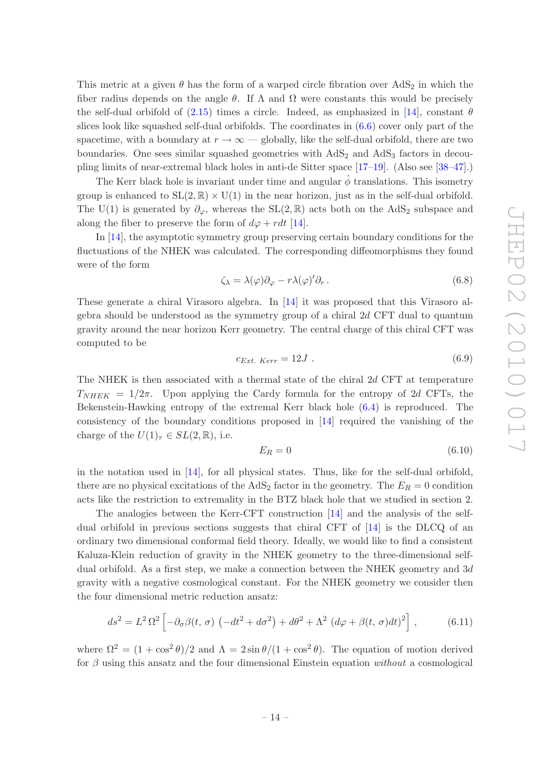This metric at a given  $\theta$  has the form of a warped circle fibration over  $AdS_2$  in which the fiber radius depends on the angle  $\theta$ . If  $\Lambda$  and  $\Omega$  were constants this would be precisely the self-dual orbifold of  $(2.15)$  times a circle. Indeed, as emphasized in [\[14\]](#page-19-0), constant  $\theta$ slices look like squashed self-dual orbifolds. The coordinates in [\(6.6\)](#page-14-1) cover only part of the spacetime, with a boundary at  $r \to \infty$  — globally, like the self-dual orbifold, there are two boundaries. One sees similar squashed geometries with  $AdS_2$  and  $AdS_3$  factors in decoupling limits of near-extremal black holes in anti-de Sitter space [\[17](#page-19-3)[–19](#page-19-4)]. (Also see [\[38](#page-20-5)[–47](#page-20-6)].)

The Kerr black hole is invariant under time and angular  $\phi$  translations. This isometry group is enhanced to  $SL(2,\mathbb{R})\times U(1)$  in the near horizon, just as in the self-dual orbifold. The U(1) is generated by  $\partial_{\varphi}$ , whereas the SL(2, R) acts both on the AdS<sub>2</sub> subspace and along the fiber to preserve the form of  $d\varphi + rdt$  [\[14\]](#page-19-0).

In [\[14](#page-19-0)], the asymptotic symmetry group preserving certain boundary conditions for the fluctuations of the NHEK was calculated. The corresponding diffeomorphisms they found were of the form

$$
\zeta_{\lambda} = \lambda(\varphi)\partial_{\varphi} - r\lambda(\varphi)'\partial_{r}.
$$
\n(6.8)

These generate a chiral Virasoro algebra. In [\[14\]](#page-19-0) it was proposed that this Virasoro algebra should be understood as the symmetry group of a chiral 2d CFT dual to quantum gravity around the near horizon Kerr geometry. The central charge of this chiral CFT was computed to be

<span id="page-15-0"></span>
$$
c_{Ext. \ Kerr} = 12J \tag{6.9}
$$

The NHEK is then associated with a thermal state of the chiral 2d CFT at temperature  $T_{NHEK} = 1/2\pi$ . Upon applying the Cardy formula for the entropy of 2d CFTs, the Bekenstein-Hawking entropy of the extremal Kerr black hole [\(6.4\)](#page-14-2) is reproduced. The consistency of the boundary conditions proposed in [\[14\]](#page-19-0) required the vanishing of the charge of the  $U(1)_{\tau} \in SL(2,\mathbb{R})$ , i.e.

$$
E_R = 0 \tag{6.10}
$$

in the notation used in [\[14](#page-19-0)], for all physical states. Thus, like for the self-dual orbifold, there are no physical excitations of the AdS<sub>2</sub> factor in the geometry. The  $E_R = 0$  condition acts like the restriction to extremality in the BTZ black hole that we studied in section 2.

The analogies between the Kerr-CFT construction [\[14](#page-19-0)] and the analysis of the selfdual orbifold in previous sections suggests that chiral CFT of [\[14\]](#page-19-0) is the DLCQ of an ordinary two dimensional conformal field theory. Ideally, we would like to find a consistent Kaluza-Klein reduction of gravity in the NHEK geometry to the three-dimensional selfdual orbifold. As a first step, we make a connection between the NHEK geometry and 3d gravity with a negative cosmological constant. For the NHEK geometry we consider then the four dimensional metric reduction ansatz:

$$
ds^{2} = L^{2} \Omega^{2} \left[ -\partial_{\sigma} \beta(t, \sigma) \left( -dt^{2} + d\sigma^{2} \right) + d\theta^{2} + \Lambda^{2} \left( d\varphi + \beta(t, \sigma) dt \right)^{2} \right],
$$
 (6.11)

where  $\Omega^2 = (1 + \cos^2 \theta)/2$  and  $\Lambda = 2 \sin \theta/(1 + \cos^2 \theta)$ . The equation of motion derived for β using this ansatz and the four dimensional Einstein equation *without* a cosmological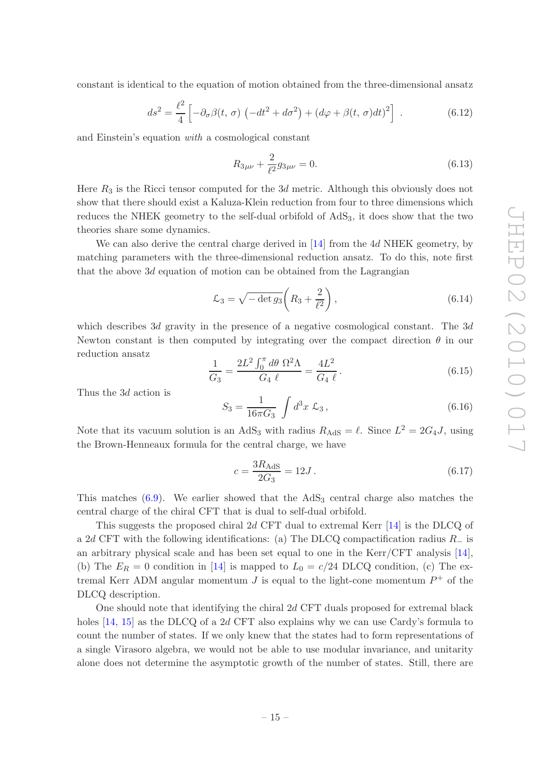constant is identical to the equation of motion obtained from the three-dimensional ansatz

$$
ds^{2} = \frac{\ell^{2}}{4} \left[ -\partial_{\sigma}\beta(t, \sigma) \left( -dt^{2} + d\sigma^{2} \right) + \left( d\varphi + \beta(t, \sigma)dt \right)^{2} \right] . \tag{6.12}
$$

and Einstein's equation *with* a cosmological constant

$$
R_{3\mu\nu} + \frac{2}{\ell^2} g_{3\mu\nu} = 0. \tag{6.13}
$$

Here  $R_3$  is the Ricci tensor computed for the 3d metric. Although this obviously does not show that there should exist a Kaluza-Klein reduction from four to three dimensions which reduces the NHEK geometry to the self-dual orbifold of  $AdS<sub>3</sub>$ , it does show that the two theories share some dynamics.

We can also derive the central charge derived in [\[14](#page-19-0)] from the 4d NHEK geometry, by matching parameters with the three-dimensional reduction ansatz. To do this, note first that the above  $3d$  equation of motion can be obtained from the Lagrangian

$$
\mathcal{L}_3 = \sqrt{-\det g_3} \left( R_3 + \frac{2}{\ell^2} \right),\tag{6.14}
$$

which describes 3d gravity in the presence of a negative cosmological constant. The  $3d$ Newton constant is then computed by integrating over the compact direction  $\theta$  in our reduction ansatz

$$
\frac{1}{G_3} = \frac{2L^2 \int_0^{\pi} d\theta \ \Omega^2 \Lambda}{G_4 \ \ell} = \frac{4L^2}{G_4 \ \ell}.
$$
\n(6.15)

Thus the 3d action is

$$
S_3 = \frac{1}{16\pi G_3} \int d^3x \, \mathcal{L}_3 \,, \tag{6.16}
$$

Note that its vacuum solution is an AdS<sub>3</sub> with radius  $R_{\text{AdS}} = \ell$ . Since  $L^2 = 2G_4 J$ , using the Brown-Henneaux formula for the central charge, we have

$$
c = \frac{3R_{\text{AdS}}}{2G_3} = 12J. \tag{6.17}
$$

This matches  $(6.9)$ . We earlier showed that the  $AdS<sub>3</sub>$  central charge also matches the central charge of the chiral CFT that is dual to self-dual orbifold.

This suggests the proposed chiral 2d CFT dual to extremal Kerr [\[14](#page-19-0)] is the DLCQ of a 2d CFT with the following identifications: (a) The DLCQ compactification radius  $R_$  is an arbitrary physical scale and has been set equal to one in the Kerr/CFT analysis [\[14\]](#page-19-0), (b) The  $E_R = 0$  condition in [\[14](#page-19-0)] is mapped to  $L_0 = c/24$  DLCQ condition, (c) The extremal Kerr ADM angular momentum  $J$  is equal to the light-cone momentum  $P^+$  of the DLCQ description.

One should note that identifying the chiral 2d CFT duals proposed for extremal black holes [\[14,](#page-19-0) [15](#page-19-1)] as the DLCQ of a 2d CFT also explains why we can use Cardy's formula to count the number of states. If we only knew that the states had to form representations of a single Virasoro algebra, we would not be able to use modular invariance, and unitarity alone does not determine the asymptotic growth of the number of states. Still, there are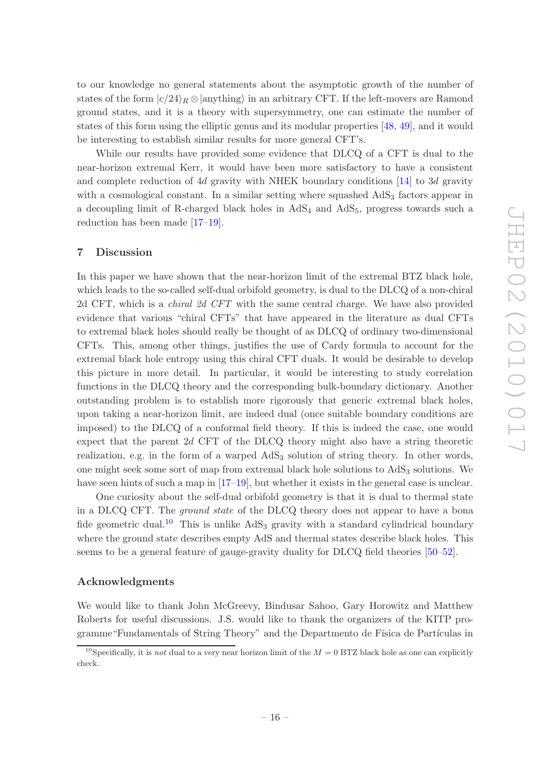to our knowledge no general statements about the asymptotic growth of the number of states of the form  $|c/24\rangle_R \otimes |$ anything) in an arbitrary CFT. If the left-movers are Ramond ground states, and it is a theory with supersymmetry, one can estimate the number of states of this form using the elliptic genus and its modular properties [\[48](#page-20-7), [49](#page-20-8)], and it would be interesting to establish similar results for more general CFT's.

While our results have provided some evidence that DLCQ of a CFT is dual to the near-horizon extremal Kerr, it would have been more satisfactory to have a consistent and complete reduction of 4d gravity with NHEK boundary conditions [\[14\]](#page-19-0) to 3d gravity with a cosmological constant. In a similar setting where squashed  $AdS<sub>3</sub>$  factors appear in a decoupling limit of R-charged black holes in  $AdS_4$  and  $AdS_5$ , progress towards such a reduction has been made [\[17](#page-19-3)[–19](#page-19-4)].

#### <span id="page-17-0"></span>7 Discussion

In this paper we have shown that the near-horizon limit of the extremal BTZ black hole, which leads to the so-called self-dual orbifold geometry, is dual to the DLCQ of a non-chiral 2d CFT, which is a *chiral 2d CFT* with the same central charge. We have also provided evidence that various "chiral CFTs" that have appeared in the literature as dual CFTs to extremal black holes should really be thought of as DLCQ of ordinary two-dimensional CFTs. This, among other things, justifies the use of Cardy formula to account for the extremal black hole entropy using this chiral CFT duals. It would be desirable to develop this picture in more detail. In particular, it would be interesting to study correlation functions in the DLCQ theory and the corresponding bulk-boundary dictionary. Another outstanding problem is to establish more rigorously that generic extremal black holes, upon taking a near-horizon limit, are indeed dual (once suitable boundary conditions are imposed) to the DLCQ of a conformal field theory. If this is indeed the case, one would expect that the parent 2d CFT of the DLCQ theory might also have a string theoretic realization, e.g. in the form of a warped AdS<sub>3</sub> solution of string theory. In other words, one might seek some sort of map from extremal black hole solutions to  $AdS<sub>3</sub>$  solutions. We have seen hints of such a map in [\[17](#page-19-3)[–19](#page-19-4)], but whether it exists in the general case is unclear.

One curiosity about the self-dual orbifold geometry is that it is dual to thermal state in a DLCQ CFT. The *ground state* of the DLCQ theory does not appear to have a bona fide geometric dual.<sup>[10](#page-17-1)</sup> This is unlike  $AdS_3$  gravity with a standard cylindrical boundary where the ground state describes empty AdS and thermal states describe black holes. This seems to be a general feature of gauge-gravity duality for DLCQ field theories [\[50](#page-20-9)[–52\]](#page-20-10).

# Acknowledgments

We would like to thank John McGreevy, Bindusar Sahoo, Gary Horowitz and Matthew Roberts for useful discussions. J.S. would like to thank the organizers of the KITP programme "Fundamentals of String Theory" and the Departmento de Física de Partículas in

<span id="page-17-1"></span><sup>&</sup>lt;sup>10</sup>Specifically, it is *not* dual to a very near horizon limit of the  $M = 0$  BTZ black hole as one can explicitly check.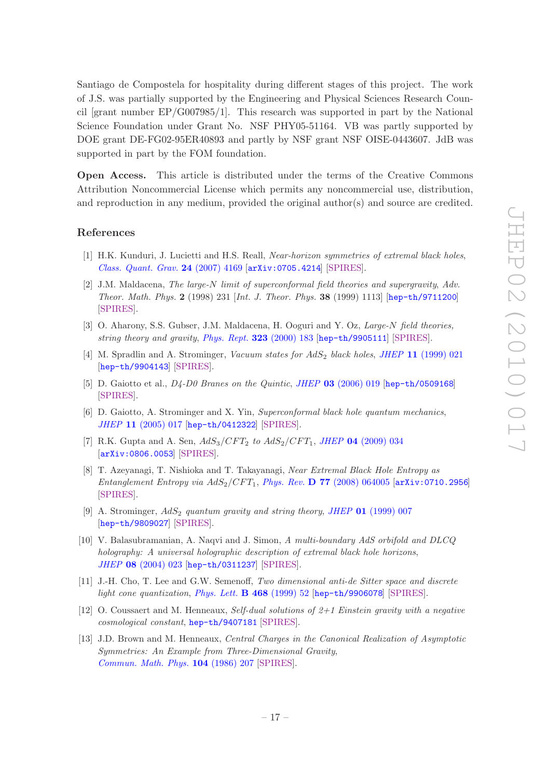Santiago de Compostela for hospitality during different stages of this project. The work of J.S. was partially supported by the Engineering and Physical Sciences Research Council [grant number EP/G007985/1]. This research was supported in part by the National Science Foundation under Grant No. NSF PHY05-51164. VB was partly supported by DOE grant DE-FG02-95ER40893 and partly by NSF grant NSF OISE-0443607. JdB was supported in part by the FOM foundation.

Open Access. This article is distributed under the terms of the Creative Commons Attribution Noncommercial License which permits any noncommercial use, distribution, and reproduction in any medium, provided the original author(s) and source are credited.

#### References

- <span id="page-18-7"></span>[1] H.K. Kunduri, J. Lucietti and H.S. Reall, *Near-horizon symmetries of extremal black holes*, *[Class. Quant. Grav.](http://dx.doi.org/10.1088/0264-9381/24/16/012)* 24 (2007) 4169 [[arXiv:0705.4214](http://arxiv.org/abs/0705.4214)] [\[SPIRES\]](http://www-spires.slac.stanford.edu/spires/find/hep/www?eprint=0705.4214).
- <span id="page-18-0"></span>[2] J.M. Maldacena, *The large-*N *limit of superconformal field theories and supergravity*, *Adv. Theor. Math. Phys.* 2 (1998) 231 [*Int. J. Theor. Phys.* 38 (1999) 1113] [[hep-th/9711200](http://arxiv.org/abs/hep-th/9711200)] [\[SPIRES\]](http://www-spires.slac.stanford.edu/spires/find/hep/www?eprint=HEP-TH/9711200).
- [3] O. Aharony, S.S. Gubser, J.M. Maldacena, H. Ooguri and Y. Oz, *Large-*N *field theories, string theory and gravity*, *[Phys. Rept.](http://dx.doi.org/10.1016/S0370-1573(99)00083-6)* 323 (2000) 183 [[hep-th/9905111](http://arxiv.org/abs/hep-th/9905111)] [\[SPIRES\]](http://www-spires.slac.stanford.edu/spires/find/hep/www?eprint=HEP-TH/9905111).
- <span id="page-18-9"></span>[4] M. Spradlin and A. Strominger, *Vacuum states for* AdS<sup>2</sup> *black holes*, *JHEP* 11 [\(1999\) 021](http://dx.doi.org/10.1088/1126-6708/1999/11/021) [[hep-th/9904143](http://arxiv.org/abs/hep-th/9904143)] [\[SPIRES\]](http://www-spires.slac.stanford.edu/spires/find/hep/www?eprint=HEP-TH/9904143).
- [5] D. Gaiotto et al., *D4-D0 Branes on the Quintic*, *JHEP* 03 [\(2006\) 019](http://dx.doi.org/10.1088/1126-6708/2006/03/019) [[hep-th/0509168](http://arxiv.org/abs/hep-th/0509168)] [\[SPIRES\]](http://www-spires.slac.stanford.edu/spires/find/hep/www?eprint=HEP-TH/0509168).
- [6] D. Gaiotto, A. Strominger and X. Yin, *Superconformal black hole quantum mechanics*, *JHEP* 11 [\(2005\) 017](http://dx.doi.org/10.1088/1126-6708/2005/11/017) [[hep-th/0412322](http://arxiv.org/abs/hep-th/0412322)] [\[SPIRES\]](http://www-spires.slac.stanford.edu/spires/find/hep/www?eprint=HEP-TH/0412322).
- <span id="page-18-2"></span>[7] R.K. Gupta and A. Sen,  $AdS_3/CFT_2$  *to*  $AdS_2/CFT_1$ , *JHEP* **04** [\(2009\) 034](http://dx.doi.org/10.1088/1126-6708/2009/04/034) [[arXiv:0806.0053](http://arxiv.org/abs/0806.0053)] [\[SPIRES\]](http://www-spires.slac.stanford.edu/spires/find/hep/www?eprint=0806.0053).
- <span id="page-18-1"></span>[8] T. Azeyanagi, T. Nishioka and T. Takayanagi, *Near Extremal Black Hole Entropy as Entanglement Entropy via*  $AdS_2/CFT_1$ , *Phys. Rev.* **D 77** [\(2008\) 064005](http://dx.doi.org/10.1103/PhysRevD.77.064005) [[arXiv:0710.2956](http://arxiv.org/abs/0710.2956)] [\[SPIRES\]](http://www-spires.slac.stanford.edu/spires/find/hep/www?eprint=0710.2956).
- <span id="page-18-3"></span>[9] A. Strominger, AdS<sup>2</sup> *quantum gravity and string theory*, *JHEP* 01 [\(1999\) 007](http://dx.doi.org/10.1088/1126-6708/1999/01/007) [[hep-th/9809027](http://arxiv.org/abs/hep-th/9809027)] [\[SPIRES\]](http://www-spires.slac.stanford.edu/spires/find/hep/www?eprint=HEP-TH/9809027).
- <span id="page-18-4"></span>[10] V. Balasubramanian, A. Naqvi and J. Simon, *A multi-boundary AdS orbifold and DLCQ holography: A universal holographic description of extremal black hole horizons*, *JHEP* 08 [\(2004\) 023](http://dx.doi.org/10.1088/1126-6708/2004/08/023) [[hep-th/0311237](http://arxiv.org/abs/hep-th/0311237)] [\[SPIRES\]](http://www-spires.slac.stanford.edu/spires/find/hep/www?eprint=HEP-TH/0311237).
- <span id="page-18-5"></span>[11] J.-H. Cho, T. Lee and G.W. Semenoff, *Two dimensional anti-de Sitter space and discrete light cone quantization*, *[Phys. Lett.](http://dx.doi.org/10.1016/S0370-2693(99)01200-9)* B 468 (1999) 52 [[hep-th/9906078](http://arxiv.org/abs/hep-th/9906078)] [\[SPIRES\]](http://www-spires.slac.stanford.edu/spires/find/hep/www?eprint=HEP-TH/9906078).
- <span id="page-18-6"></span>[12] O. Coussaert and M. Henneaux, *Self-dual solutions of 2+1 Einstein gravity with a negative cosmological constant*, [hep-th/9407181](http://arxiv.org/abs/hep-th/9407181) [\[SPIRES\]](http://www-spires.slac.stanford.edu/spires/find/hep/www?eprint=HEP-TH/9407181).
- <span id="page-18-8"></span>[13] J.D. Brown and M. Henneaux, *Central Charges in the Canonical Realization of Asymptotic Symmetries: An Example from Three-Dimensional Gravity*, *[Commun. Math. Phys.](http://dx.doi.org/10.1007/BF01211590)* 104 (1986) 207 [\[SPIRES\]](http://www-spires.slac.stanford.edu/spires/find/hep/www?j=CMPHA,104,207).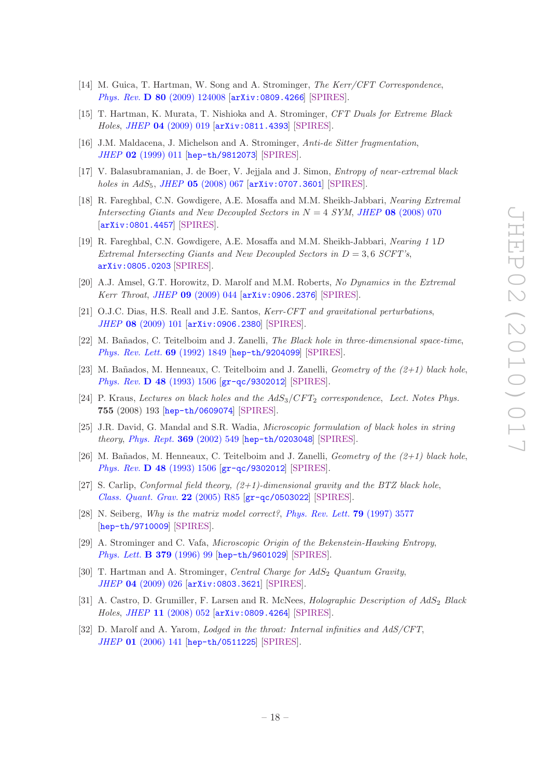- <span id="page-19-0"></span>[14] M. Guica, T. Hartman, W. Song and A. Strominger, *The Kerr/CFT Correspondence*, *Phys. Rev.* D 80 [\(2009\) 124008](http://dx.doi.org/10.1103/PhysRevD.80.124008) [[arXiv:0809.4266](http://arxiv.org/abs/0809.4266)] [\[SPIRES\]](http://www-spires.slac.stanford.edu/spires/find/hep/www?eprint=0809.4266).
- <span id="page-19-1"></span>[15] T. Hartman, K. Murata, T. Nishioka and A. Strominger, *CFT Duals for Extreme Black Holes*, *JHEP* 04 [\(2009\) 019](http://dx.doi.org/10.1088/1126-6708/2009/04/019) [[arXiv:0811.4393](http://arxiv.org/abs/0811.4393)] [\[SPIRES\]](http://www-spires.slac.stanford.edu/spires/find/hep/www?eprint=0811.4393).
- <span id="page-19-2"></span>[16] J.M. Maldacena, J. Michelson and A. Strominger, *Anti-de Sitter fragmentation*, *JHEP* 02 [\(1999\) 011](http://dx.doi.org/10.1088/1126-6708/1999/02/011) [[hep-th/9812073](http://arxiv.org/abs/hep-th/9812073)] [\[SPIRES\]](http://www-spires.slac.stanford.edu/spires/find/hep/www?eprint=HEP-TH/9812073).
- <span id="page-19-3"></span>[17] V. Balasubramanian, J. de Boer, V. Jejjala and J. Simon, *Entropy of near-extremal black holes in* AdS5, *JHEP* 05 [\(2008\) 067](http://dx.doi.org/10.1088/1126-6708/2008/05/067) [[arXiv:0707.3601](http://arxiv.org/abs/0707.3601)] [\[SPIRES\]](http://www-spires.slac.stanford.edu/spires/find/hep/www?eprint=0707.3601).
- [18] R. Fareghbal, C.N. Gowdigere, A.E. Mosaffa and M.M. Sheikh-Jabbari, *Nearing Extremal Intersecting Giants and New Decoupled Sectors in*  $N = 4$  *SYM*, *JHEP* **08** [\(2008\) 070](http://dx.doi.org/10.1088/1126-6708/2008/08/070) [[arXiv:0801.4457](http://arxiv.org/abs/0801.4457)] [\[SPIRES\]](http://www-spires.slac.stanford.edu/spires/find/hep/www?eprint=0801.4457).
- <span id="page-19-4"></span>[19] R. Fareghbal, C.N. Gowdigere, A.E. Mosaffa and M.M. Sheikh-Jabbari, *Nearing 1* 1D *Extremal Intersecting Giants and New Decoupled Sectors in* D = 3, 6 *SCFT's*, [arXiv:0805.0203](http://arxiv.org/abs/0805.0203) [\[SPIRES\]](http://www-spires.slac.stanford.edu/spires/find/hep/www?eprint=0805.0203).
- <span id="page-19-5"></span>[20] A.J. Amsel, G.T. Horowitz, D. Marolf and M.M. Roberts, *No Dynamics in the Extremal Kerr Throat*, *JHEP* 09 [\(2009\) 044](http://dx.doi.org/10.1088/1126-6708/2009/09/044) [[arXiv:0906.2376](http://arxiv.org/abs/0906.2376)] [\[SPIRES\]](http://www-spires.slac.stanford.edu/spires/find/hep/www?eprint=0906.2376).
- <span id="page-19-6"></span>[21] O.J.C. Dias, H.S. Reall and J.E. Santos, *Kerr-CFT and gravitational perturbations*, *JHEP* 08 [\(2009\) 101](http://dx.doi.org/10.1088/1126-6708/2009/08/101) [[arXiv:0906.2380](http://arxiv.org/abs/0906.2380)] [\[SPIRES\]](http://www-spires.slac.stanford.edu/spires/find/hep/www?eprint=0906.2380).
- <span id="page-19-7"></span>[22] M. Ba˜nados, C. Teitelboim and J. Zanelli, *The Black hole in three-dimensional space-time*, *[Phys. Rev. Lett.](http://dx.doi.org/10.1103/PhysRevLett.69.1849)* 69 (1992) 1849 [[hep-th/9204099](http://arxiv.org/abs/hep-th/9204099)] [\[SPIRES\]](http://www-spires.slac.stanford.edu/spires/find/hep/www?eprint=HEP-TH/9204099).
- <span id="page-19-8"></span>[23] M. Ba˜nados, M. Henneaux, C. Teitelboim and J. Zanelli, *Geometry of the (2+1) black hole*, *Phys. Rev.* D 48 [\(1993\) 1506](http://dx.doi.org/10.1103/PhysRevD.48.1506) [[gr-qc/9302012](http://arxiv.org/abs/gr-qc/9302012)] [\[SPIRES\]](http://www-spires.slac.stanford.edu/spires/find/hep/www?eprint=GR-QC/9302012).
- <span id="page-19-9"></span>[24] P. Kraus, *Lectures on black holes and the AdS*<sub>3</sub>/CFT<sub>2</sub> *correspondence*, *Lect. Notes Phys.* 755 (2008) 193 [[hep-th/0609074](http://arxiv.org/abs/hep-th/0609074)] [\[SPIRES\]](http://www-spires.slac.stanford.edu/spires/find/hep/www?eprint=HEP-TH/0609074).
- <span id="page-19-10"></span>[25] J.R. David, G. Mandal and S.R. Wadia, *Microscopic formulation of black holes in string theory*, *[Phys. Rept.](http://dx.doi.org/10.1016/S0370-1573(02)00271-5)* 369 (2002) 549 [[hep-th/0203048](http://arxiv.org/abs/hep-th/0203048)] [\[SPIRES\]](http://www-spires.slac.stanford.edu/spires/find/hep/www?eprint=HEP-TH/0203048).
- <span id="page-19-11"></span>[26] M. Ba˜nados, M. Henneaux, C. Teitelboim and J. Zanelli, *Geometry of the (2+1) black hole*, *Phys. Rev.* D 48 [\(1993\) 1506](http://dx.doi.org/10.1103/PhysRevD.48.1506) [[gr-qc/9302012](http://arxiv.org/abs/gr-qc/9302012)] [\[SPIRES\]](http://www-spires.slac.stanford.edu/spires/find/hep/www?eprint=GR-QC/9302012).
- <span id="page-19-12"></span>[27] S. Carlip, *Conformal field theory, (2+1)-dimensional gravity and the BTZ black hole*, *[Class. Quant. Grav.](http://dx.doi.org/10.1088/0264-9381/22/12/R01)* 22 (2005) R85 [[gr-qc/0503022](http://arxiv.org/abs/gr-qc/0503022)] [\[SPIRES\]](http://www-spires.slac.stanford.edu/spires/find/hep/www?eprint=GR-QC/0503022).
- <span id="page-19-13"></span>[28] N. Seiberg, *Why is the matrix model correct?*, *[Phys. Rev. Lett.](http://dx.doi.org/10.1103/PhysRevLett.79.3577)* 79 (1997) 3577 [[hep-th/9710009](http://arxiv.org/abs/hep-th/9710009)] [\[SPIRES\]](http://www-spires.slac.stanford.edu/spires/find/hep/www?eprint=HEP-TH/9710009).
- <span id="page-19-14"></span>[29] A. Strominger and C. Vafa, *Microscopic Origin of the Bekenstein-Hawking Entropy*, *[Phys. Lett.](http://dx.doi.org/10.1016/0370-2693(96)00345-0)* B 379 (1996) 99 [[hep-th/9601029](http://arxiv.org/abs/hep-th/9601029)] [\[SPIRES\]](http://www-spires.slac.stanford.edu/spires/find/hep/www?eprint=HEP-TH/9601029).
- <span id="page-19-15"></span>[30] T. Hartman and A. Strominger, *Central Charge for* AdS2 *Quantum Gravity*, *JHEP* 04 [\(2009\) 026](http://dx.doi.org/10.1088/1126-6708/2009/04/026) [[arXiv:0803.3621](http://arxiv.org/abs/0803.3621)] [\[SPIRES\]](http://www-spires.slac.stanford.edu/spires/find/hep/www?eprint=0803.3621).
- <span id="page-19-16"></span>[31] A. Castro, D. Grumiller, F. Larsen and R. McNees, *Holographic Description of* AdS2 *Black Holes*, *JHEP* 11 [\(2008\) 052](http://dx.doi.org/10.1088/1126-6708/2008/11/052) [[arXiv:0809.4264](http://arxiv.org/abs/0809.4264)] [\[SPIRES\]](http://www-spires.slac.stanford.edu/spires/find/hep/www?eprint=0809.4264).
- <span id="page-19-17"></span>[32] D. Marolf and A. Yarom, *Lodged in the throat: Internal infinities and AdS/CFT*, *JHEP* 01 [\(2006\) 141](http://dx.doi.org/10.1088/1126-6708/2006/01/141) [[hep-th/0511225](http://arxiv.org/abs/hep-th/0511225)] [\[SPIRES\]](http://www-spires.slac.stanford.edu/spires/find/hep/www?eprint=HEP-TH/0511225).